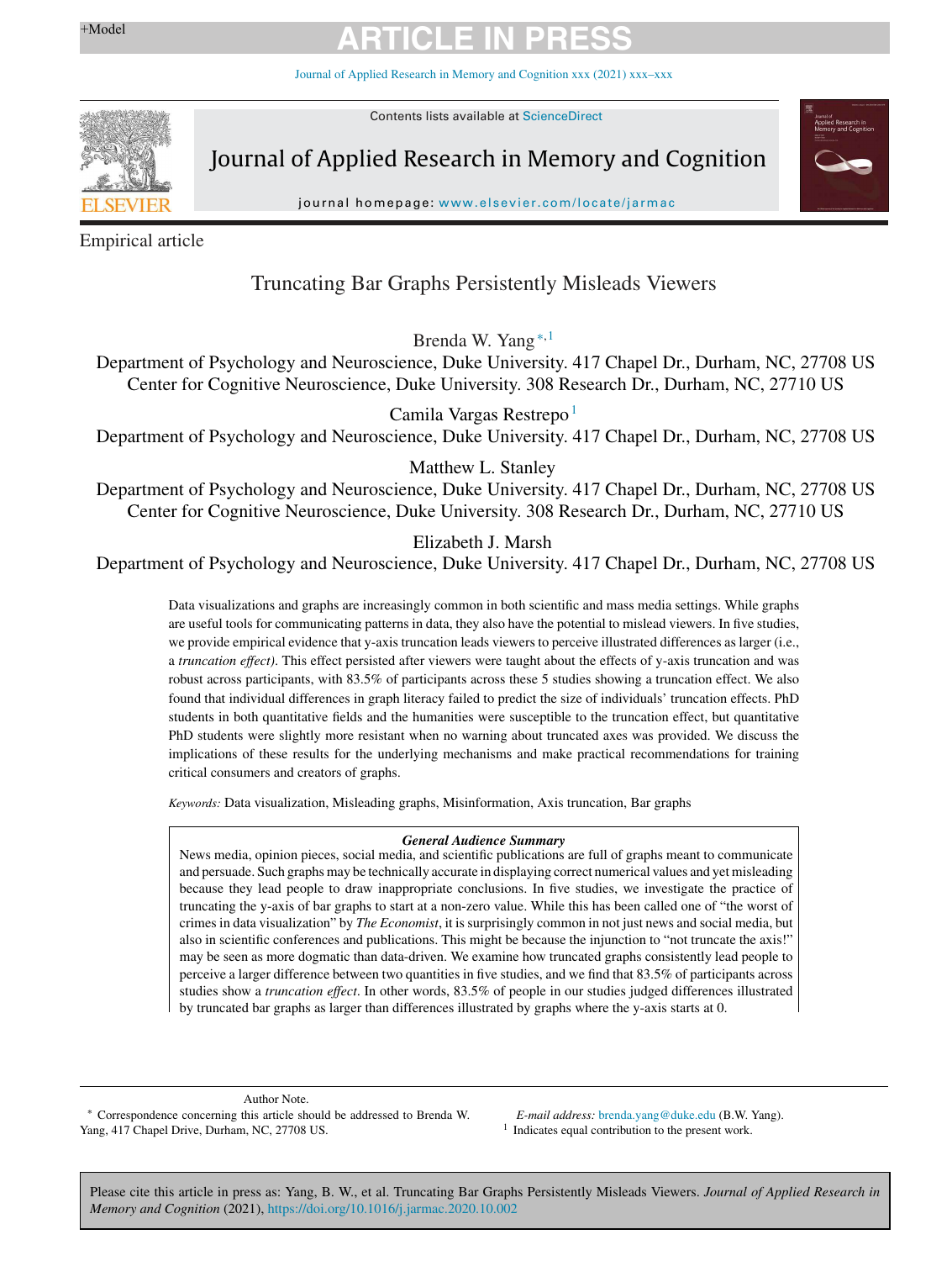Journal of Applied Research in Memory and [Cognition](https://doi.org/10.1016/j.jarmac.2020.10.002) xxx (2021) xxx–xxx

Contents lists available at [ScienceDirect](http://www.sciencedirect.com/science/journal/22113681)



Journal of Applied Research in Memory and Cognition



journal homepage: [www.elsevier.com/locate/jarmac](http://www.elsevier.com/locate/jarmac)

Empirical article

### Truncating Bar Graphs Persistently Misleads Viewers

Brenda W. Yang<sup>\*,1</sup>

Department of Psychology and Neuroscience, Duke University. 417 Chapel Dr., Durham, NC, 27708 US Center for Cognitive Neuroscience, Duke University. 308 Research Dr., Durham, NC, 27710 US

Camila Vargas Restrepo $<sup>1</sup>$ </sup>

Department of Psychology and Neuroscience, Duke University. 417 Chapel Dr., Durham, NC, 27708 US

Matthew L. Stanley

Department of Psychology and Neuroscience, Duke University. 417 Chapel Dr., Durham, NC, 27708 US Center for Cognitive Neuroscience, Duke University. 308 Research Dr., Durham, NC, 27710 US

Elizabeth J. Marsh

Department of Psychology and Neuroscience, Duke University. 417 Chapel Dr., Durham, NC, 27708 US

Data visualizations and graphs are increasingly common in both scientific and mass media settings. While graphs are useful tools for communicating patterns in data, they also have the potential to mislead viewers. In five studies, we provide empirical evidence that y-axis truncation leads viewers to perceive illustrated differences as larger (i.e., a *truncation effect)*. This effect persisted after viewers were taught about the effects of y-axis truncation and was robust across participants, with 83.5% of participants across these 5 studies showing a truncation effect. We also found that individual differences in graph literacy failed to predict the size of individuals' truncation effects. PhD students in both quantitative fields and the humanities were susceptible to the truncation effect, but quantitative PhD students were slightly more resistant when no warning about truncated axes was provided. We discuss the implications of these results for the underlying mechanisms and make practical recommendations for training critical consumers and creators of graphs.

*Keywords:* Data visualization, Misleading graphs, Misinformation, Axis truncation, Bar graphs

### *General Audience Summary*

News media, opinion pieces, social media, and scientific publications are full of graphs meant to communicate and persuade. Such graphs may be technically accurate in displaying correct numerical values and yet misleading because they lead people to draw inappropriate conclusions. In five studies, we investigate the practice of truncating the y-axis of bar graphs to start at a non-zero value. While this has been called one of "the worst of crimes in data visualization" by *The Economist*, it is surprisingly common in not just news and social media, but also in scientific conferences and publications. This might be because the injunction to "not truncate the axis!" may be seen as more dogmatic than data-driven. We examine how truncated graphs consistently lead people to perceive a larger difference between two quantities in five studies, and we find that 83.5% of participants across studies show a *truncation effect*. In other words, 83.5% of people in our studies judged differences illustrated by truncated bar graphs as larger than differences illustrated by graphs where the y-axis starts at 0.

Author Note.

<sup>∗</sup> Correspondence concerning this article should be addressed to Brenda W. Yang, 417 Chapel Drive, Durham, NC, 27708 US.

*E-mail address:* [brenda.yang@duke.edu](mailto:brenda.yang@duke.edu) (B.W. Yang). <sup>1</sup> Indicates equal contribution to the present work.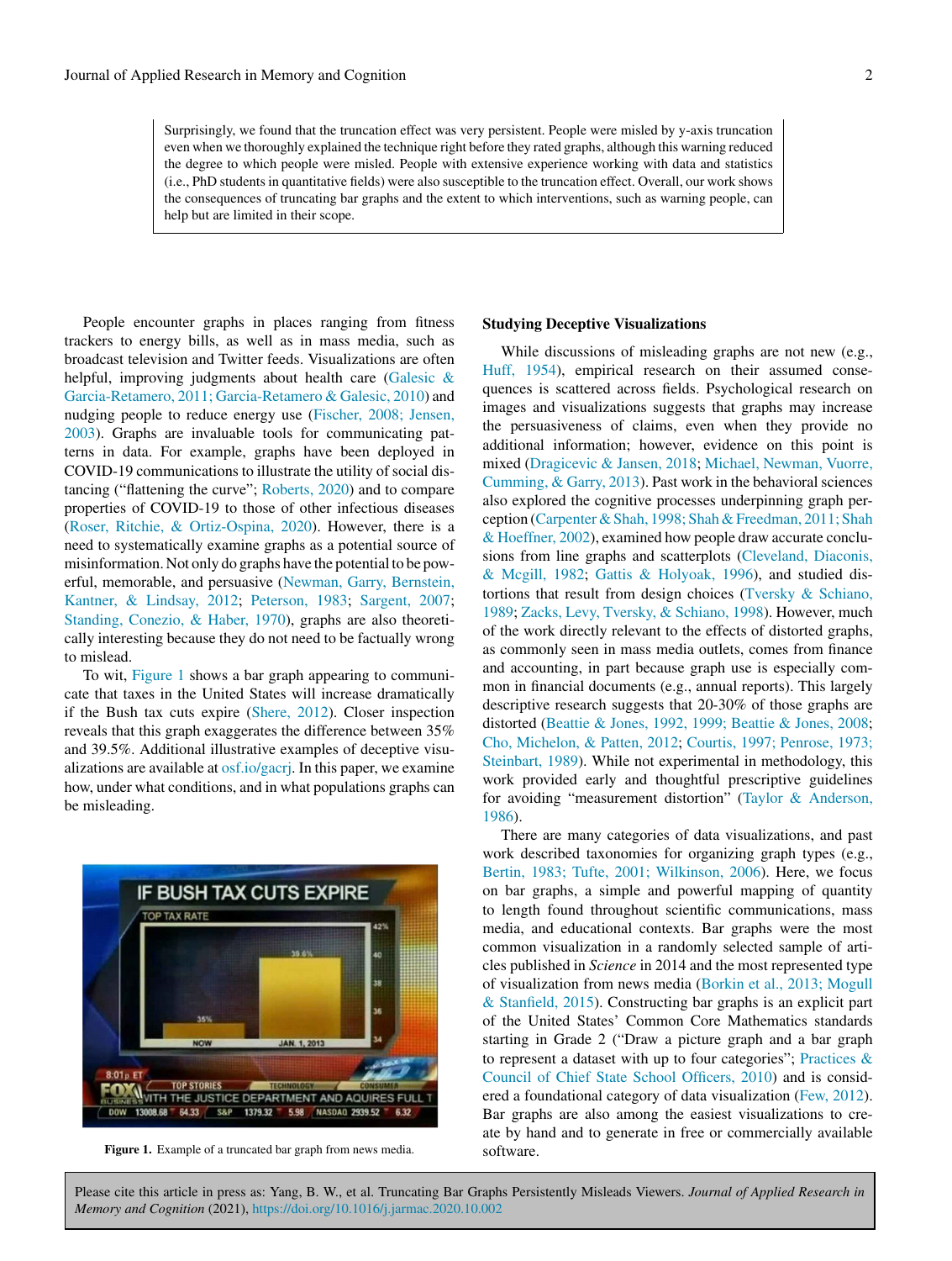Surprisingly, we found that the truncation effect was very persistent. People were misled by y-axis truncation even when we thoroughly explained the technique right before they rated graphs, although this warning reduced the degree to which people were misled. People with extensive experience working with data and statistics (i.e., PhD students in quantitative fields) were also susceptible to the truncation effect. Overall, our work shows the consequences of truncating bar graphs and the extent to which interventions, such as warning people, can help but are limited in their scope.

People encounter graphs in places ranging from fitness trackers to energy bills, as well as in mass media, such as broadcast television and Twitter feeds. Visualizations are often helpful, improving judgments about health care ([Galesic](#page-12-0) [&](#page-12-0) [Garcia-Retamero,](#page-12-0) [2011;](#page-12-0) [Garcia-Retamero](#page-12-0) [&](#page-12-0) [Galesic,](#page-12-0) [2010\)](#page-12-0) and nudging people to reduce energy use [\(Fischer,](#page-12-0) [2008;](#page-12-0) [Jensen,](#page-12-0) [2003\).](#page-12-0) Graphs are invaluable tools for communicating patterns in data. For example, graphs have been deployed in COVID-19 communications to illustrate the utility of social distancing ("flattening the curve"; [Roberts,](#page-13-0) [2020\)](#page-13-0) and to compare properties of COVID-19 to those of other infectious diseases [\(Roser,](#page-13-0) [Ritchie,](#page-13-0) [&](#page-13-0) [Ortiz-Ospina,](#page-13-0) [2020\).](#page-13-0) However, there is a need to systematically examine graphs as a potential source of misinformation. Not only do graphs have the potential to be powerful, memorable, and persuasive ([Newman,](#page-12-0) [Garry,](#page-12-0) [Bernstein,](#page-12-0) [Kantner,](#page-12-0) [&](#page-12-0) [Lindsay,](#page-12-0) [2012;](#page-12-0) [Peterson,](#page-12-0) [1983;](#page-12-0) [Sargent,](#page-13-0) [2007;](#page-13-0) [Standing,](#page-13-0) [Conezio,](#page-13-0) [&](#page-13-0) [Haber,](#page-13-0) [1970\),](#page-13-0) graphs are also theoretically interesting because they do not need to be factually wrong to mislead.

To wit, Figure 1 shows a bar graph appearing to communicate that taxes in the United States will increase dramatically if the Bush tax cuts expire [\(Shere,](#page-13-0) [2012\).](#page-13-0) Closer inspection reveals that this graph exaggerates the difference between 35% and 39.5%. Additional illustrative examples of deceptive visualizations are available at [osf.io/gacrj](http://osf.io/gacrj). In this paper, we examine how, under what conditions, and in what populations graphs can be misleading.



**Figure 1.** Example of a truncated bar graph from news media.

### **Studying Deceptive Visualizations**

While discussions of misleading graphs are not new (e.g., [Huff,](#page-12-0) [1954\),](#page-12-0) empirical research on their assumed consequences is scattered across fields. Psychological research on images and visualizations suggests that graphs may increase the persuasiveness of claims, even when they provide no additional information; however, evidence on this point is mixed [\(Dragicevic](#page-12-0) [&](#page-12-0) [Jansen,](#page-12-0) [2018;](#page-12-0) [Michael,](#page-12-0) [Newman,](#page-12-0) [Vuorre,](#page-12-0) [Cumming,](#page-12-0) [&](#page-12-0) [Garry,](#page-12-0) [2013\).](#page-12-0) Past work in the behavioral sciences also explored the cognitive processes underpinning graph per-ception (Carpenter & Shah, [1998;](#page-11-0) Shah & Freedman, [2011;](#page-11-0) [Shah](#page-11-0) [&](#page-11-0) [Hoeffner,](#page-11-0) [2002\),](#page-11-0) examined how people draw accurate conclusions from line graphs and scatterplots ([Cleveland,](#page-12-0) [Diaconis,](#page-12-0) [&](#page-12-0) [Mcgill,](#page-12-0) [1982;](#page-12-0) [Gattis](#page-12-0) [&](#page-12-0) [Holyoak,](#page-12-0) [1996\),](#page-12-0) and studied distortions that result from design choices ([Tversky](#page-13-0) [&](#page-13-0) [Schiano,](#page-13-0) [1989;](#page-13-0) [Zacks,](#page-13-0) [Levy,](#page-13-0) [Tversky,](#page-13-0) [&](#page-13-0) [Schiano,](#page-13-0) [1998\).](#page-13-0) However, much of the work directly relevant to the effects of distorted graphs, as commonly seen in mass media outlets, comes from finance and accounting, in part because graph use is especially common in financial documents (e.g., annual reports). This largely descriptive research suggests that 20-30% of those graphs are distorted ([Beattie](#page-11-0) [&](#page-11-0) [Jones,](#page-11-0) [1992,](#page-11-0) [1999;](#page-11-0) [Beattie](#page-11-0) [&](#page-11-0) [Jones,](#page-11-0) [2008;](#page-11-0) [Cho,](#page-11-0) [Michelon,](#page-11-0) [&](#page-11-0) [Patten,](#page-11-0) [2012;](#page-11-0) [Courtis,](#page-12-0) [1997;](#page-12-0) [Penrose,](#page-12-0) [1973;](#page-12-0) [Steinbart,](#page-12-0) [1989\).](#page-12-0) While not experimental in methodology, this work provided early and thoughtful prescriptive guidelines for avoiding "measurement distortion" [\(Taylor](#page-13-0) [&](#page-13-0) [Anderson,](#page-13-0) [1986\).](#page-13-0)

There are many categories of data visualizations, and past work described taxonomies for organizing graph types (e.g., [Bertin,](#page-11-0) [1983;](#page-11-0) [Tufte,](#page-11-0) [2001;](#page-11-0) [Wilkinson,](#page-11-0) [2006\).](#page-11-0) Here, we focus on bar graphs, a simple and powerful mapping of quantity to length found throughout scientific communications, mass media, and educational contexts. Bar graphs were the most common visualization in a randomly selected sample of articles published in *Science* in 2014 and the most represented type of visualization from news media ([Borkin](#page-11-0) et [al.,](#page-11-0) [2013;](#page-11-0) [Mogull](#page-11-0) [&](#page-11-0) [Stanfield,](#page-11-0) [2015\).](#page-11-0) Constructing bar graphs is an explicit part of the United States' Common Core Mathematics standards starting in Grade 2 ("Draw a picture graph and a bar graph to represent a dataset with up to four categories"; [Practices](#page-13-0) [&](#page-13-0) [Council](#page-13-0) [of](#page-13-0) [Chief](#page-13-0) [State](#page-13-0) [School](#page-13-0) [Officers,](#page-13-0) [2010\)](#page-13-0) and is considered a foundational category of data visualization ([Few,](#page-12-0) [2012\).](#page-12-0) Bar graphs are also among the easiest visualizations to create by hand and to generate in free or commercially available software.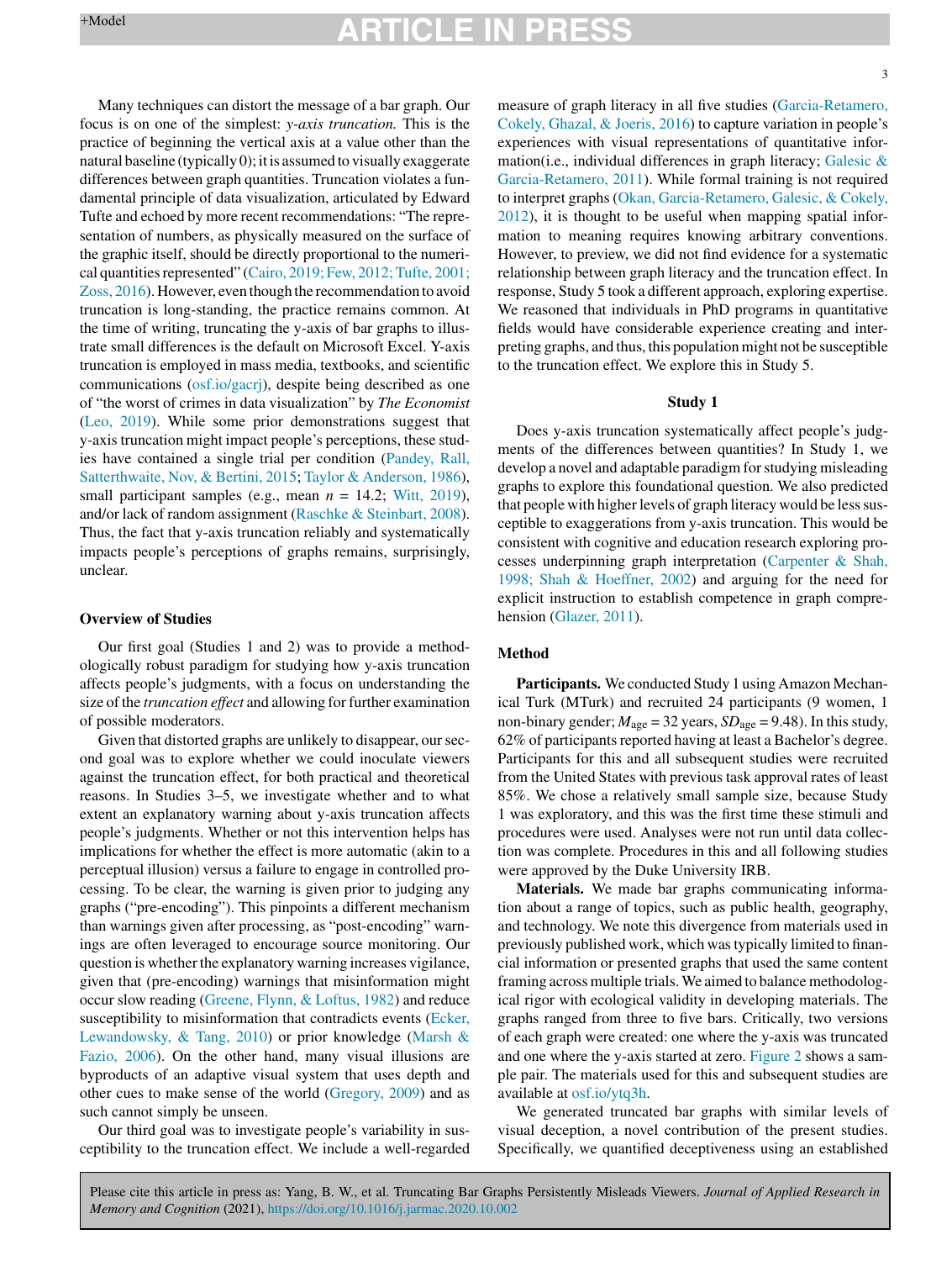Many techniques can distort the message of a bar graph. Our focus is on one of the simplest: *y-axis truncation.* This is the practice of beginning the vertical axis at a value other than the natural baseline (typically 0); it is assumed to visually exaggerate differences between graph quantities. Truncation violates a fundamental principle of data visualization, articulated by Edward Tufte and echoed by more recent recommendations: "The representation of numbers, as physically measured on the surface of the graphic itself, should be directly proportional to the numeri-cal quantities represented" [\(Cairo,](#page-11-0) [2019;](#page-11-0) [Few,](#page-11-0) 2012; Tufte, [2001;](#page-11-0) [Zoss,](#page-11-0) [2016\).](#page-11-0) However, even though the recommendation to avoid truncation is long-standing, the practice remains common. At the time of writing, truncating the y-axis of bar graphs to illustrate small differences is the default on Microsoft Excel. Y-axis truncation is employed in mass media, textbooks, and scientific communications [\(osf.io/gacrj](http://osf.io/gacrj)), despite being described as one of "the worst of crimes in data visualization" by *The Economist* [\(Leo,](#page-12-0) [2019\).](#page-12-0) While some prior demonstrations suggest that y-axis truncation might impact people's perceptions, these studies have contained a single trial per condition ([Pandey,](#page-12-0) [Rall,](#page-12-0) [Satterthwaite,](#page-12-0) [Nov,](#page-12-0) [&](#page-12-0) [Bertini,](#page-12-0) [2015;](#page-12-0) [Taylor](#page-13-0) [&](#page-13-0) [Anderson,](#page-13-0) [1986\),](#page-13-0) small participant samples (e.g., mean  $n = 14.2$ ; [Witt,](#page-13-0) [2019\),](#page-13-0) and/or lack of random assignment ([Raschke](#page-13-0) [&](#page-13-0) [Steinbart,](#page-13-0) [2008\).](#page-13-0) Thus, the fact that y-axis truncation reliably and systematically impacts people's perceptions of graphs remains, surprisingly, unclear.

### **Overview of Studies**

Our first goal (Studies 1 and 2) was to provide a methodologically robust paradigm for studying how y-axis truncation affects people's judgments, with a focus on understanding the size of the *truncation effect* and allowing for further examination of possible moderators.

Given that distorted graphs are unlikely to disappear, our second goal was to explore whether we could inoculate viewers against the truncation effect, for both practical and theoretical reasons. In Studies 3–5, we investigate whether and to what extent an explanatory warning about y-axis truncation affects people's judgments. Whether or not this intervention helps has implications for whether the effect is more automatic (akin to a perceptual illusion) versus a failure to engage in controlled processing. To be clear, the warning is given prior to judging any graphs ("pre-encoding"). This pinpoints a different mechanism than warnings given after processing, as "post-encoding" warnings are often leveraged to encourage source monitoring. Our question is whether the explanatory warning increases vigilance, given that (pre-encoding) warnings that misinformation might occur slow reading [\(Greene,](#page-12-0) [Flynn,](#page-12-0) [&](#page-12-0) [Loftus,](#page-12-0) [1982\)](#page-12-0) and reduce susceptibility to misinformation that contradicts events ([Ecker,](#page-12-0) [Lewandowsky,](#page-12-0) [&](#page-12-0) [Tang,](#page-12-0) [2010\)](#page-12-0) or prior knowledge ([Marsh](#page-12-0) [&](#page-12-0) [Fazio,](#page-12-0) [2006\).](#page-12-0) On the other hand, many visual illusions are byproducts of an adaptive visual system that uses depth and other cues to make sense of the world ([Gregory,](#page-12-0) [2009\)](#page-12-0) and as such cannot simply be unseen.

Our third goal was to investigate people's variability in susceptibility to the truncation effect. We include a well-regarded measure of graph literacy in all five studies ([Garcia-Retamero,](#page-12-0) [Cokely,](#page-12-0) [Ghazal,](#page-12-0) [&](#page-12-0) [Joeris,](#page-12-0) [2016\)](#page-12-0) to capture variation in people's experiences with visual representations of quantitative information(i.e., individual differences in graph literacy; [Galesic](#page-12-0) [&](#page-12-0) [Garcia-Retamero,](#page-12-0) [2011\).](#page-12-0) While formal training is not required to interpret graphs [\(Okan,](#page-12-0) [Garcia-Retamero,](#page-12-0) [Galesic,](#page-12-0) [&](#page-12-0) [Cokely,](#page-12-0) [2012\),](#page-12-0) it is thought to be useful when mapping spatial information to meaning requires knowing arbitrary conventions. However, to preview, we did not find evidence for a systematic relationship between graph literacy and the truncation effect. In response, Study 5 took a different approach, exploring expertise. We reasoned that individuals in PhD programs in quantitative fields would have considerable experience creating and interpreting graphs, and thus, this population might not be susceptible to the truncation effect. We explore this in Study 5.

#### **Study 1**

Does y-axis truncation systematically affect people's judgments of the differences between quantities? In Study 1, we develop a novel and adaptable paradigm forstudying misleading graphs to explore this foundational question. We also predicted that people with higher levels of graph literacy would be less susceptible to exaggerations from y-axis truncation. This would be consistent with cognitive and education research exploring processes underpinning graph interpretation [\(Carpenter](#page-11-0) [&](#page-11-0) [Shah,](#page-11-0) [1998;](#page-11-0) [Shah](#page-11-0) [&](#page-11-0) [Hoeffner,](#page-11-0) [2002\)](#page-11-0) and arguing for the need for explicit instruction to establish competence in graph comprehension ([Glazer,](#page-12-0) [2011\).](#page-12-0)

### **Method**

**Participants.** We conducted Study 1 using Amazon Mechanical Turk (MTurk) and recruited 24 participants (9 women, 1 non-binary gender;  $M_{\text{age}} = 32$  years,  $SD_{\text{age}} = 9.48$ ). In this study, 62% of participants reported having at least a Bachelor's degree. Participants for this and all subsequent studies were recruited from the United States with previous task approval rates of least 85%. We chose a relatively small sample size, because Study 1 was exploratory, and this was the first time these stimuli and procedures were used. Analyses were not run until data collection was complete. Procedures in this and all following studies were approved by the Duke University IRB.

**Materials.** We made bar graphs communicating information about a range of topics, such as public health, geography, and technology. We note this divergence from materials used in previously published work, which wastypically limited to financial information or presented graphs that used the same content framing across multiple trials.We aimed to balance methodological rigor with ecological validity in developing materials. The graphs ranged from three to five bars. Critically, two versions of each graph were created: one where the y-axis was truncated and one where the y-axis started at zero. [Figure](#page-3-0) 2 shows a sample pair. The materials used for this and subsequent studies are available at [osf.io/ytq3h](http://osf.io/ytq3h).

We generated truncated bar graphs with similar levels of visual deception, a novel contribution of the present studies. Specifically, we quantified deceptiveness using an established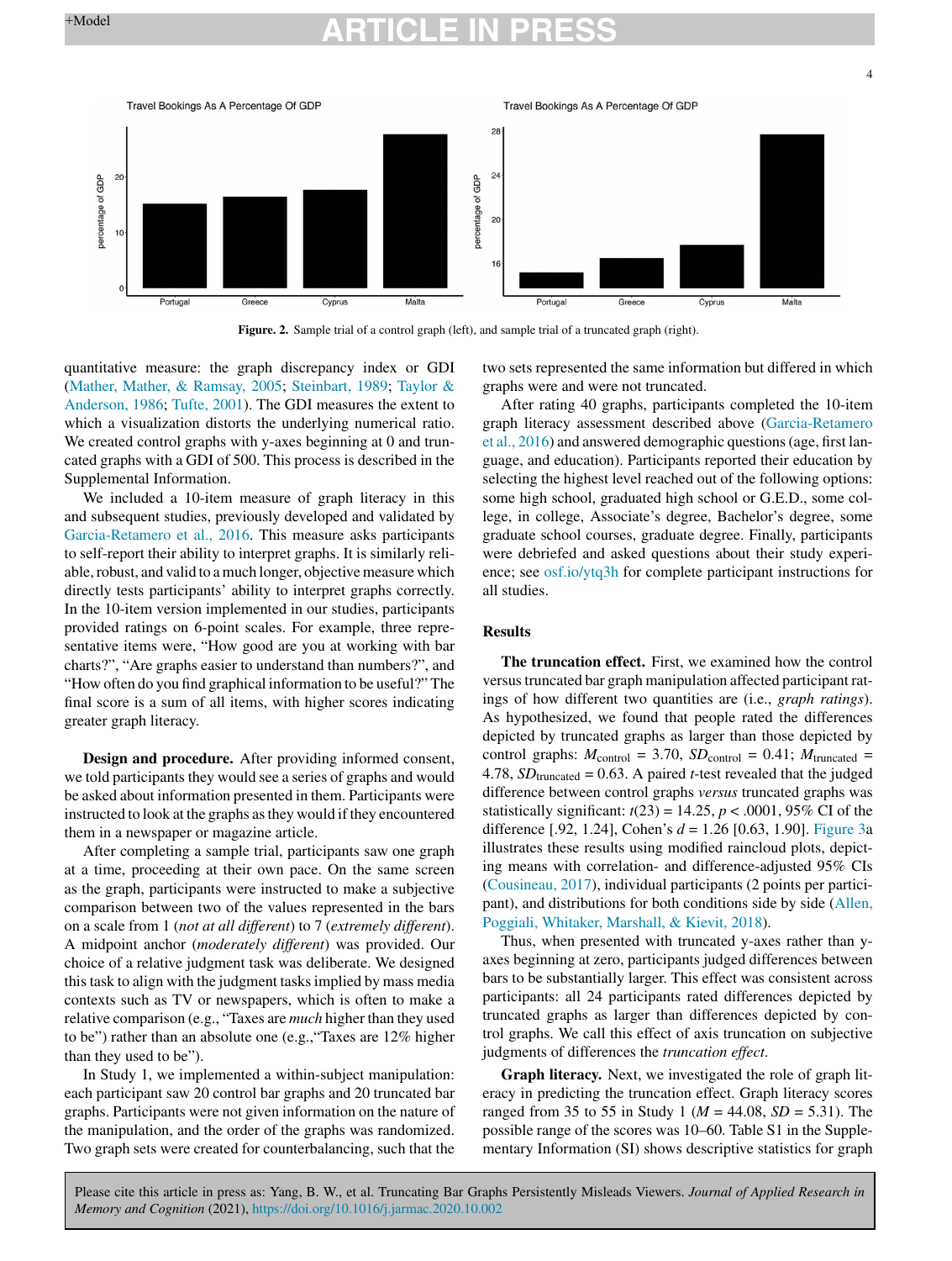<span id="page-3-0"></span>

**Figure.** 2. Sample trial of a control graph (left), and sample trial of a truncated graph (right).

quantitative measure: the graph discrepancy index or GDI [\(Mather,](#page-12-0) [Mather,](#page-12-0) [&](#page-12-0) [Ramsay,](#page-12-0) [2005;](#page-12-0) [Steinbart,](#page-13-0) [1989;](#page-13-0) [Taylor](#page-13-0) [&](#page-13-0) [Anderson,](#page-13-0) [1986;](#page-13-0) [Tufte,](#page-13-0) [2001\).](#page-13-0) The GDI measures the extent to which a visualization distorts the underlying numerical ratio. We created control graphs with y-axes beginning at 0 and truncated graphs with a GDI of 500. This process is described in the Supplemental Information.

We included a 10-item measure of graph literacy in this and subsequent studies, previously developed and validated by [Garcia-Retamero](#page-12-0) et [al.,](#page-12-0) [2016.](#page-12-0) This measure asks participants to self-report their ability to interpret graphs. It is similarly reliable, robust, and valid to a much longer, objective measure which directly tests participants' ability to interpret graphs correctly. In the 10-item version implemented in our studies, participants provided ratings on 6-point scales. For example, three representative items were, "How good are you at working with bar charts?", "Are graphs easier to understand than numbers?", and "How often do you find graphical information to be useful?" The final score is a sum of all items, with higher scores indicating greater graph literacy.

**Design and procedure.** After providing informed consent, we told participants they would see a series of graphs and would be asked about information presented in them. Participants were instructed to look at the graphs asthey would if they encountered them in a newspaper or magazine article.

After completing a sample trial, participants saw one graph at a time, proceeding at their own pace. On the same screen as the graph, participants were instructed to make a subjective comparison between two of the values represented in the bars on a scale from 1 (*not at all different*) to 7 (*extremely different*). A midpoint anchor (*moderately different*) was provided. Our choice of a relative judgment task was deliberate. We designed thistask to align with the judgment tasksimplied by mass media contexts such as TV or newspapers, which is often to make a relative comparison (e.g., "Taxes are *much* higher than they used to be") rather than an absolute one (e.g.,"Taxes are 12% higher than they used to be").

In Study 1, we implemented a within-subject manipulation: each participant saw 20 control bar graphs and 20 truncated bar graphs. Participants were not given information on the nature of the manipulation, and the order of the graphs was randomized. Two graph sets were created for counterbalancing, such that the

two sets represented the same information but differed in which graphs were and were not truncated.

After rating 40 graphs, participants completed the 10-item graph literacy assessment described above [\(Garcia-Retamero](#page-12-0) et [al.,](#page-12-0) [2016\)](#page-12-0) and answered demographic questions(age, first language, and education). Participants reported their education by selecting the highest level reached out of the following options: some high school, graduated high school or G.E.D., some college, in college, Associate's degree, Bachelor's degree, some graduate school courses, graduate degree. Finally, participants were debriefed and asked questions about their study experience; see [osf.io/ytq3h](http://osf.io/ytq3h) for complete participant instructions for all studies.

### **Results**

**The truncation effect.** First, we examined how the control versus truncated bar graph manipulation affected participant ratings of how different two quantities are (i.e., *graph ratings*). As hypothesized, we found that people rated the differences depicted by truncated graphs as larger than those depicted by control graphs:  $M_{\text{control}} = 3.70$ ,  $SD_{\text{control}} = 0.41$ ;  $M_{\text{truncated}} =$ 4.78,  $SD$ <sub>truncated</sub> = 0.63. A paired *t*-test revealed that the judged difference between control graphs *versus* truncated graphs was statistically significant:  $t(23) = 14.25$ ,  $p < .0001$ , 95% CI of the difference [.92, 1.24], Cohen's *d* = 1.26 [0.63, 1.90]. [Figure](#page-4-0) 3a illustrates these results using modified raincloud plots, depicting means with correlation- and difference-adjusted 95% CIs [\(Cousineau,](#page-12-0) [2017\),](#page-12-0) individual participants (2 points per participant), and distributions for both conditions side by side [\(Allen,](#page-11-0) [Poggiali,](#page-11-0) [Whitaker,](#page-11-0) [Marshall,](#page-11-0) [&](#page-11-0) [Kievit,](#page-11-0) [2018\).](#page-11-0)

Thus, when presented with truncated y-axes rather than yaxes beginning at zero, participants judged differences between bars to be substantially larger. This effect was consistent across participants: all 24 participants rated differences depicted by truncated graphs as larger than differences depicted by control graphs. We call this effect of axis truncation on subjective judgments of differences the *truncation effect*.

**Graph literacy.** Next, we investigated the role of graph literacy in predicting the truncation effect. Graph literacy scores ranged from 35 to 55 in Study 1 (*M* = 44.08, *SD* = 5.31). The possible range of the scores was 10–60. Table S1 in the Supplementary Information (SI) shows descriptive statistics for graph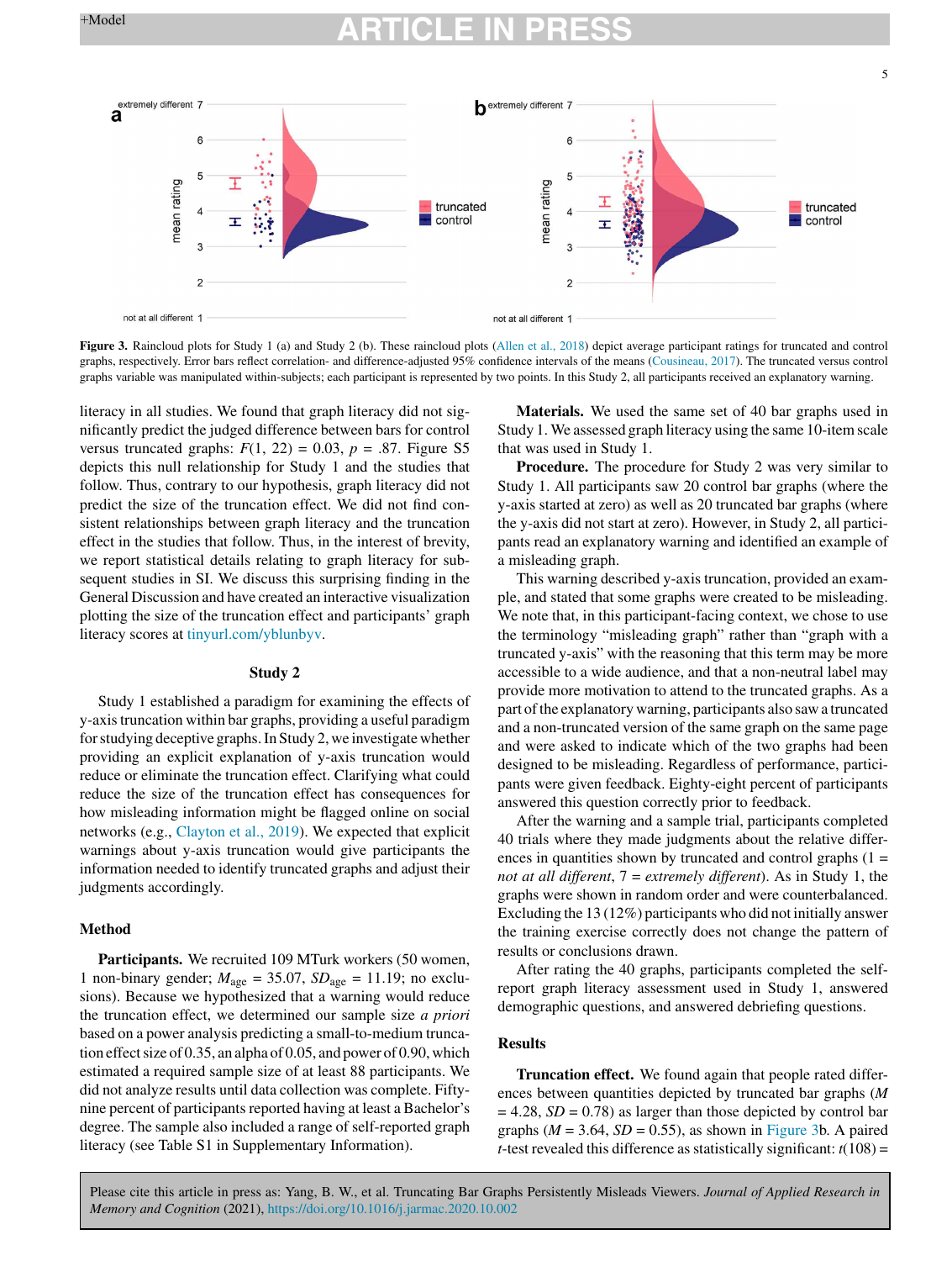# <span id="page-4-0"></span> $+$ Model **ARTICLE IN PRESS**



**Figure 3.** Raincloud plots for Study 1 (a) and Study 2 (b). These raincloud plots ([Allen](#page-11-0) et [al.,](#page-11-0) [2018\)](#page-11-0) depict average participant ratings for truncated and control graphs, respectively. Error bars reflect correlation- and difference-adjusted 95% confidence intervals of the means [\(Cousineau,](#page-12-0) [2017\).](#page-12-0) The truncated versus control graphs variable was manipulated within-subjects; each participant is represented by two points. In this Study 2, all participants received an explanatory warning.

literacy in all studies. We found that graph literacy did not significantly predict the judged difference between bars for control versus truncated graphs:  $F(1, 22) = 0.03$ ,  $p = .87$ . Figure S5 depicts this null relationship for Study 1 and the studies that follow. Thus, contrary to our hypothesis, graph literacy did not predict the size of the truncation effect. We did not find consistent relationships between graph literacy and the truncation effect in the studies that follow. Thus, in the interest of brevity, we report statistical details relating to graph literacy for subsequent studies in SI. We discuss this surprising finding in the General Discussion and have created an interactive visualization plotting the size of the truncation effect and participants' graph literacy scores at [tinyurl.com/yblunbyv](http://tinyurl.com/yblunbyv).

### **Study 2**

Study 1 established a paradigm for examining the effects of y-axistruncation within bar graphs, providing a useful paradigm for studying deceptive graphs. In Study 2, we investigate whether providing an explicit explanation of y-axis truncation would reduce or eliminate the truncation effect. Clarifying what could reduce the size of the truncation effect has consequences for how misleading information might be flagged online on social networks (e.g., [Clayton](#page-11-0) et [al.,](#page-11-0) [2019\).](#page-11-0) We expected that explicit warnings about y-axis truncation would give participants the information needed to identify truncated graphs and adjust their judgments accordingly.

### **Method**

Participants. We recruited 109 MTurk workers (50 women, 1 non-binary gender;  $M_{\text{age}} = 35.07$ ,  $SD_{\text{age}} = 11.19$ ; no exclusions). Because we hypothesized that a warning would reduce the truncation effect, we determined our sample size *a priori* based on a power analysis predicting a small-to-medium truncation effect size of  $0.35$ , an alpha of  $0.05$ , and power of  $0.90$ , which estimated a required sample size of at least 88 participants. We did not analyze results until data collection was complete. Fiftynine percent of participants reported having at least a Bachelor's degree. The sample also included a range of self-reported graph literacy (see Table S1 in Supplementary Information).

**Materials.** We used the same set of 40 bar graphs used in Study 1. We assessed graph literacy using the same 10-item scale that was used in Study 1.

**Procedure.** The procedure for Study 2 was very similar to Study 1. All participants saw 20 control bar graphs (where the y-axis started at zero) as well as 20 truncated bar graphs (where the y-axis did not start at zero). However, in Study 2, all participants read an explanatory warning and identified an example of a misleading graph.

This warning described y-axis truncation, provided an example, and stated that some graphs were created to be misleading. We note that, in this participant-facing context, we chose to use the terminology "misleading graph" rather than "graph with a truncated y-axis" with the reasoning that this term may be more accessible to a wide audience, and that a non-neutral label may provide more motivation to attend to the truncated graphs. As a part of the explanatory warning, participants also saw a truncated and a non-truncated version of the same graph on the same page and were asked to indicate which of the two graphs had been designed to be misleading. Regardless of performance, participants were given feedback. Eighty-eight percent of participants answered this question correctly prior to feedback.

After the warning and a sample trial, participants completed 40 trials where they made judgments about the relative differences in quantities shown by truncated and control graphs  $(1 =$ *not at all different*, 7 = *extremely different*). As in Study 1, the graphs were shown in random order and were counterbalanced. Excluding the 13 (12%) participants who did not initially answer the training exercise correctly does not change the pattern of results or conclusions drawn.

After rating the 40 graphs, participants completed the selfreport graph literacy assessment used in Study 1, answered demographic questions, and answered debriefing questions.

### **Results**

**Truncation effect.** We found again that people rated differences between quantities depicted by truncated bar graphs (*M*  $= 4.28$ ,  $SD = 0.78$ ) as larger than those depicted by control bar graphs ( $M = 3.64$ ,  $SD = 0.55$ ), as shown in Figure 3b. A paired *t*-test revealed this difference as statistically significant:  $t(108) =$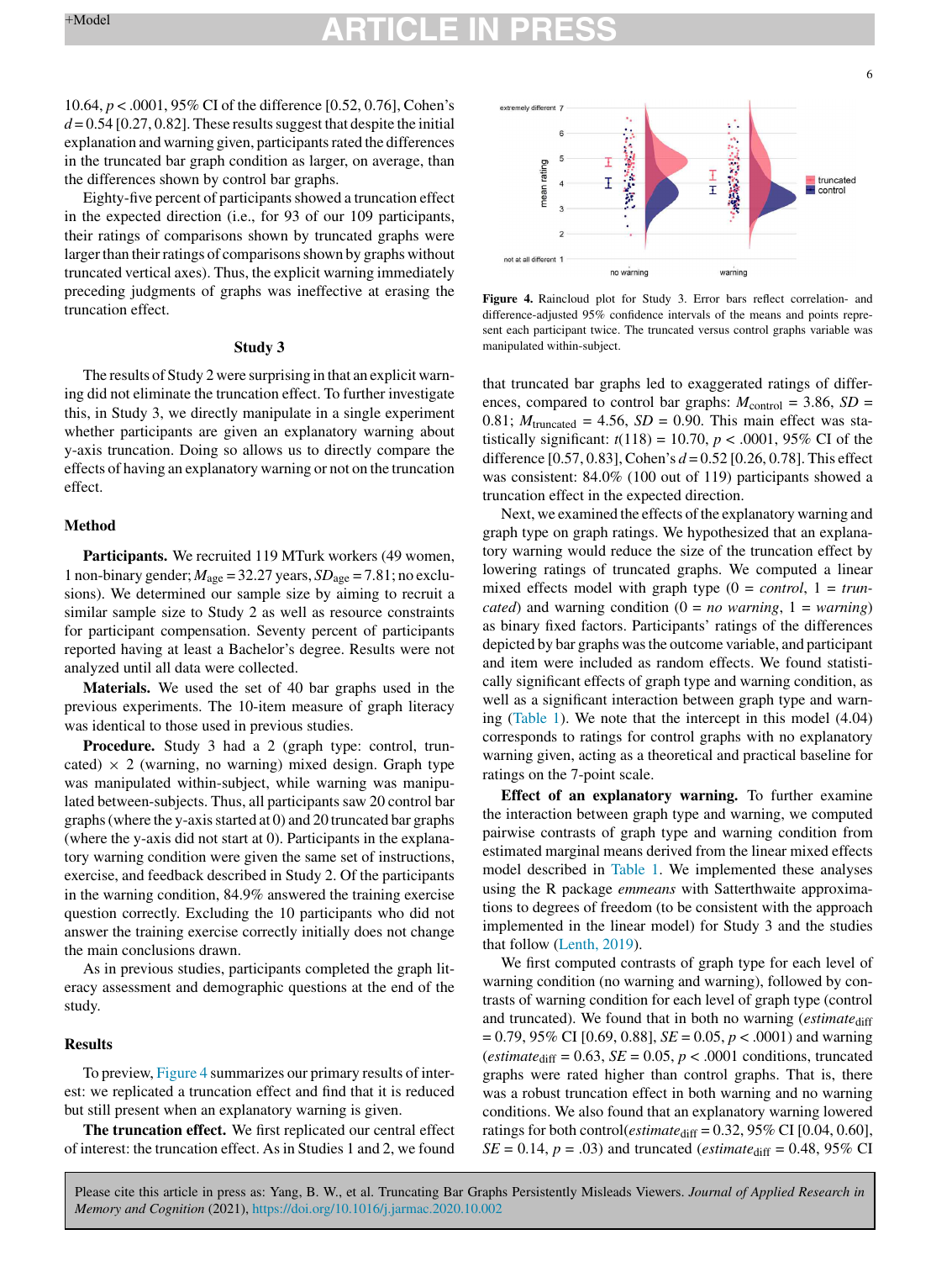10.64, *p* < .0001, 95% CI of the difference [0.52, 0.76], Cohen's  $d = 0.54$  [0.27, 0.82]. These results suggest that despite the initial explanation and warning given, participants rated the differences in the truncated bar graph condition as larger, on average, than the differences shown by control bar graphs.

Eighty-five percent of participants showed a truncation effect in the expected direction (i.e., for 93 of our 109 participants, their ratings of comparisons shown by truncated graphs were larger than their ratings of comparisons shown by graphs without truncated vertical axes). Thus, the explicit warning immediately preceding judgments of graphs was ineffective at erasing the truncation effect.

### **Study 3**

The results of Study 2 were surprising in that an explicit warning did not eliminate the truncation effect. To further investigate this, in Study 3, we directly manipulate in a single experiment whether participants are given an explanatory warning about y-axis truncation. Doing so allows us to directly compare the effects of having an explanatory warning or not on the truncation effect.

### **Method**

Participants. We recruited 119 MTurk workers (49 women, 1 non-binary gender;  $M_{\text{age}} = 32.27$  years,  $SD_{\text{age}} = 7.81$ ; no exclusions). We determined our sample size by aiming to recruit a similar sample size to Study 2 as well as resource constraints for participant compensation. Seventy percent of participants reported having at least a Bachelor's degree. Results were not analyzed until all data were collected.

**Materials.** We used the set of 40 bar graphs used in the previous experiments. The 10-item measure of graph literacy was identical to those used in previous studies.

Procedure. Study 3 had a 2 (graph type: control, truncated)  $\times$  2 (warning, no warning) mixed design. Graph type was manipulated within-subject, while warning was manipulated between-subjects. Thus, all participants saw 20 control bar graphs (where the y-axis started at  $0$ ) and  $20$  truncated bar graphs (where the y-axis did not start at 0). Participants in the explanatory warning condition were given the same set of instructions, exercise, and feedback described in Study 2. Of the participants in the warning condition, 84.9% answered the training exercise question correctly. Excluding the 10 participants who did not answer the training exercise correctly initially does not change the main conclusions drawn.

As in previous studies, participants completed the graph literacy assessment and demographic questions at the end of the study.

### **Results**

To preview, Figure 4 summarizes our primary results of interest: we replicated a truncation effect and find that it is reduced but still present when an explanatory warning is given.

**The truncation effect.** We first replicated our central effect of interest: the truncation effect. As in Studies 1 and 2, we found



**Figure 4.** Raincloud plot for Study 3. Error bars reflect correlation- and difference-adjusted 95% confidence intervals of the means and points represent each participant twice. The truncated versus control graphs variable was manipulated within-subject.

that truncated bar graphs led to exaggerated ratings of differences, compared to control bar graphs:  $M_{\text{control}} = 3.86$ ,  $SD =$ 0.81;  $M_{\text{truncated}} = 4.56$ ,  $SD = 0.90$ . This main effect was statistically significant:  $t(118) = 10.70, p < .0001, 95\%$  CI of the difference [0.57, 0.83], Cohen's *d* = 0.52 [0.26, 0.78]. This effect was consistent: 84.0% (100 out of 119) participants showed a truncation effect in the expected direction.

Next, we examined the effects of the explanatory warning and graph type on graph ratings. We hypothesized that an explanatory warning would reduce the size of the truncation effect by lowering ratings of truncated graphs. We computed a linear mixed effects model with graph type (0 = *control*, 1 = *truncated*) and warning condition  $(0 = no \text{ warning}, 1 = warning)$ as binary fixed factors. Participants' ratings of the differences depicted by bar graphs wasthe outcome variable, and participant and item were included as random effects. We found statistically significant effects of graph type and warning condition, as well as a significant interaction between graph type and warning ([Table](#page-6-0) 1). We note that the intercept in this model (4.04) corresponds to ratings for control graphs with no explanatory warning given, acting as a theoretical and practical baseline for ratings on the 7-point scale.

**Effect of an explanatory warning.** To further examine the interaction between graph type and warning, we computed pairwise contrasts of graph type and warning condition from estimated marginal means derived from the linear mixed effects model described in [Table](#page-6-0) 1. We implemented these analyses using the R package *emmeans* with Satterthwaite approximations to degrees of freedom (to be consistent with the approach implemented in the linear model) for Study 3 and the studies that follow ([Lenth,](#page-12-0) [2019\).](#page-12-0)

We first computed contrasts of graph type for each level of warning condition (no warning and warning), followed by contrasts of warning condition for each level of graph type (control and truncated). We found that in both no warning (*estimate*<sub>diff</sub> = 0.79, 95% CI [0.69, 0.88], *SE* = 0.05, *p* < .0001) and warning (*estimate*<sub>diff</sub> = 0.63, *SE* = 0.05, *p* < .0001 conditions, truncated graphs were rated higher than control graphs. That is, there was a robust truncation effect in both warning and no warning conditions. We also found that an explanatory warning lowered ratings for both control(*estimate*diff = 0.32, 95% CI [0.04, 0.60], *SE* = 0.14, *p* = .03) and truncated (*estimate*<sub>diff</sub> = 0.48, 95% CI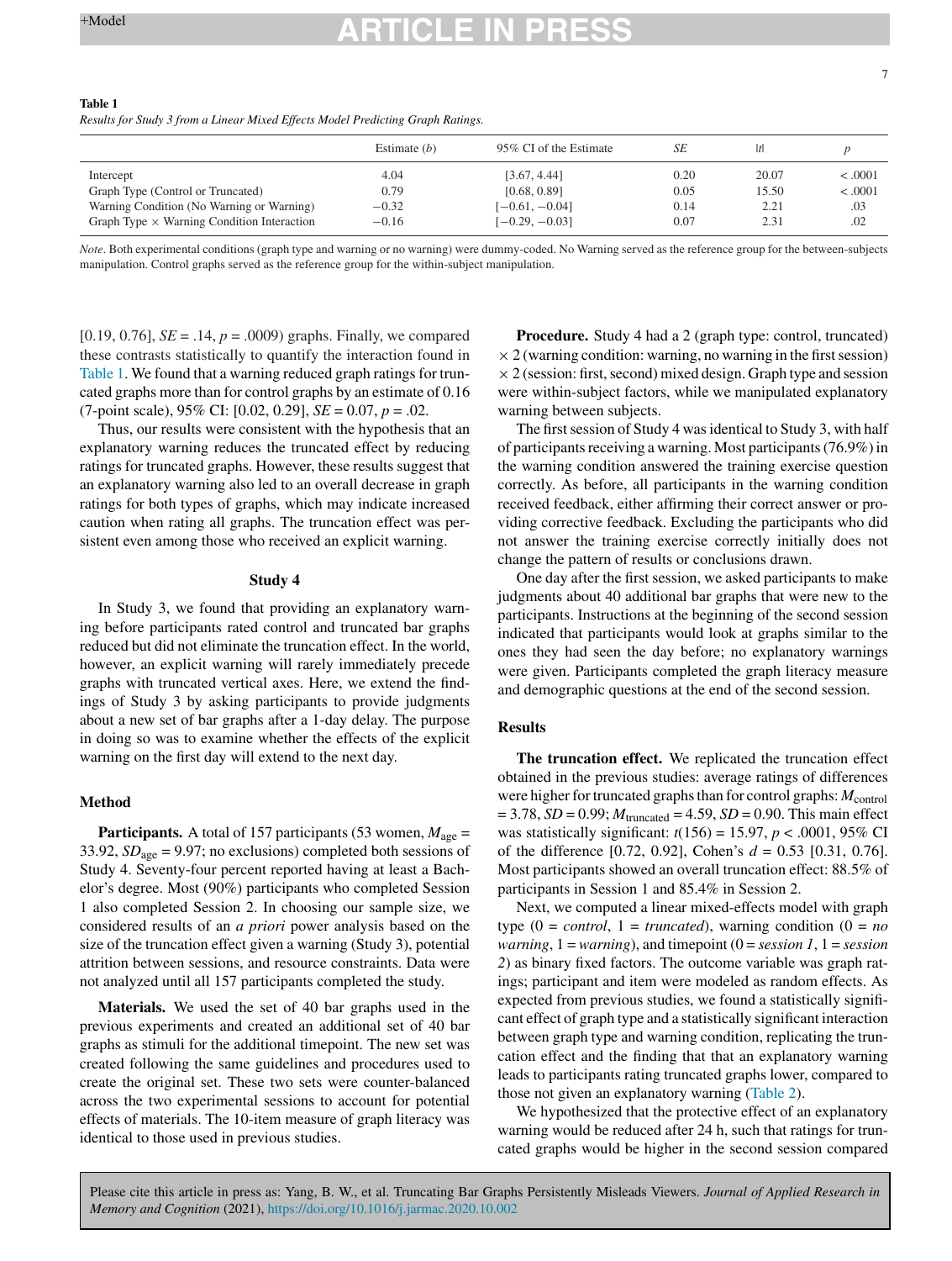### <span id="page-6-0"></span>**Table 1**

*Results for Study 3 from a Linear Mixed Effects Model Predicting Graph Ratings.*

|                                                   | Estimate $(b)$ | 95% CI of the Estimate | SЕ   |       |          |
|---------------------------------------------------|----------------|------------------------|------|-------|----------|
| Intercept                                         | 4.04           | [3.67, 4.44]           | 0.20 | 20.07 | < 0.0001 |
| Graph Type (Control or Truncated)                 | 0.79           | [0.68, 0.89]           | 0.05 | 15.50 | < .0001  |
| Warning Condition (No Warning or Warning)         | $-0.32$        | $[-0.61, -0.04]$       | 0.14 | 2.21  | .03      |
| Graph Type $\times$ Warning Condition Interaction | $-0.16$        | $[-0.29, -0.03]$       | 0.07 | 2.31  | .02      |

*Note*. Both experimental conditions (graph type and warning or no warning) were dummy-coded. No Warning served as the reference group for the between-subjects manipulation. Control graphs served as the reference group for the within-subject manipulation.

[0.19, 0.76],  $SE = .14$ ,  $p = .0009$ ) graphs. Finally, we compared these contrasts statistically to quantify the interaction found in Table 1. We found that a warning reduced graph ratings for truncated graphs more than for control graphs by an estimate of 0.16 (7-point scale), 95% CI: [0.02, 0.29], *SE* = 0.07, *p* = .02.

Thus, our results were consistent with the hypothesis that an explanatory warning reduces the truncated effect by reducing ratings for truncated graphs. However, these results suggest that an explanatory warning also led to an overall decrease in graph ratings for both types of graphs, which may indicate increased caution when rating all graphs. The truncation effect was persistent even among those who received an explicit warning.

### **Study 4**

In Study 3, we found that providing an explanatory warning before participants rated control and truncated bar graphs reduced but did not eliminate the truncation effect. In the world, however, an explicit warning will rarely immediately precede graphs with truncated vertical axes. Here, we extend the findings of Study 3 by asking participants to provide judgments about a new set of bar graphs after a 1-day delay. The purpose in doing so was to examine whether the effects of the explicit warning on the first day will extend to the next day.

### **Method**

**Participants.** A total of 157 participants (53 women,  $M_{\text{age}} =$ 33.92,  $SD<sub>age</sub> = 9.97$ ; no exclusions) completed both sessions of Study 4. Seventy-four percent reported having at least a Bachelor's degree. Most (90%) participants who completed Session 1 also completed Session 2. In choosing our sample size, we considered results of an *a priori* power analysis based on the size of the truncation effect given a warning (Study 3), potential attrition between sessions, and resource constraints. Data were not analyzed until all 157 participants completed the study.

**Materials.** We used the set of 40 bar graphs used in the previous experiments and created an additional set of 40 bar graphs as stimuli for the additional timepoint. The new set was created following the same guidelines and procedures used to create the original set. These two sets were counter-balanced across the two experimental sessions to account for potential effects of materials. The 10-item measure of graph literacy was identical to those used in previous studies.

**Procedure.** Study 4 had a 2 (graph type: control, truncated)  $\times$  2 (warning condition: warning, no warning in the first session)  $\times$  2 (session: first, second) mixed design. Graph type and session were within-subject factors, while we manipulated explanatory warning between subjects.

The first session of Study 4 was identical to Study 3, with half of participants receiving a warning. Most participants  $(76.9\%)$  in the warning condition answered the training exercise question correctly. As before, all participants in the warning condition received feedback, either affirming their correct answer or providing corrective feedback. Excluding the participants who did not answer the training exercise correctly initially does not change the pattern of results or conclusions drawn.

One day after the first session, we asked participants to make judgments about 40 additional bar graphs that were new to the participants. Instructions at the beginning of the second session indicated that participants would look at graphs similar to the ones they had seen the day before; no explanatory warnings were given. Participants completed the graph literacy measure and demographic questions at the end of the second session.

### **Results**

**The truncation effect.** We replicated the truncation effect obtained in the previous studies: average ratings of differences were higher for truncated graphs than for control graphs:  $M_{\text{control}}$  $= 3.78$ , *SD* = 0.99;  $M_{\text{truncated}} = 4.59$ , *SD* = 0.90. This main effect was statistically significant: *t*(156) = 15.97, *p* < .0001, 95% CI of the difference [0.72, 0.92], Cohen's *d* = 0.53 [0.31, 0.76]. Most participants showed an overall truncation effect: 88.5% of participants in Session 1 and 85.4% in Session 2.

Next, we computed a linear mixed-effects model with graph type  $(0 = control, 1 = truncated)$ , warning condition  $(0 = no$ *warning*,  $1 = warning$ , and timepoint  $(0 = session 1, 1 = session)$ *2*) as binary fixed factors. The outcome variable was graph ratings; participant and item were modeled as random effects. As expected from previous studies, we found a statistically significant effect of graph type and a statistically significant interaction between graph type and warning condition, replicating the truncation effect and the finding that that an explanatory warning leads to participants rating truncated graphs lower, compared to those not given an explanatory warning [\(Table](#page-7-0) 2).

We hypothesized that the protective effect of an explanatory warning would be reduced after 24 h, such that ratings for truncated graphs would be higher in the second session compared

7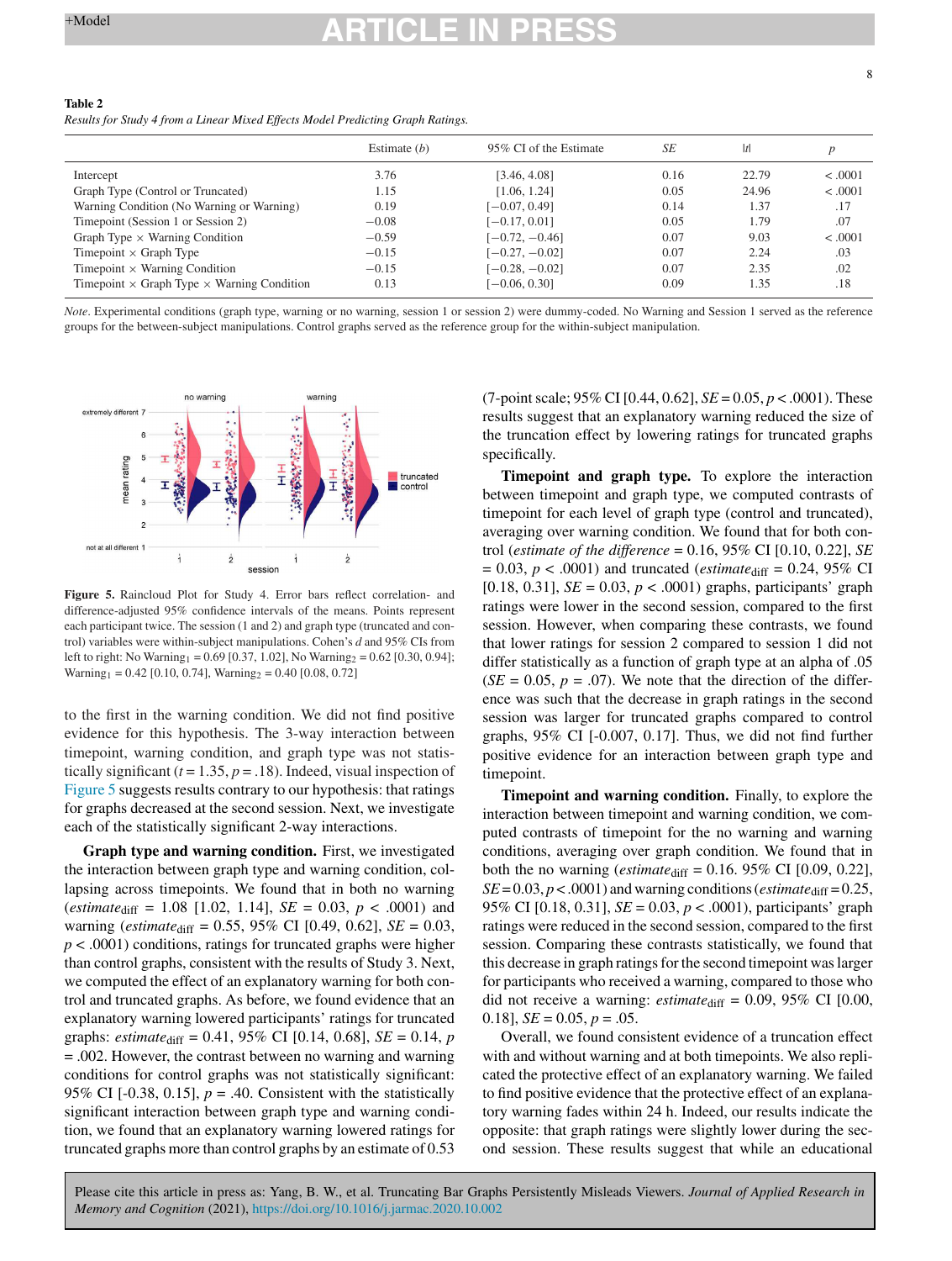#### <span id="page-7-0"></span>**Table 2**

*Results for Study 4 from a Linear Mixed Effects Model Predicting Graph Ratings.*

|                                                          | Estimate $(b)$ | 95% CI of the Estimate | SЕ   | Itl   |          |
|----------------------------------------------------------|----------------|------------------------|------|-------|----------|
| Intercept                                                | 3.76           | [3.46, 4.08]           | 0.16 | 22.79 | < 0.0001 |
| Graph Type (Control or Truncated)                        | 1.15           | [1.06, 1.24]           | 0.05 | 24.96 | < .0001  |
| Warning Condition (No Warning or Warning)                | 0.19           | $[-0.07, 0.49]$        | 0.14 | 1.37  | .17      |
| Timepoint (Session 1 or Session 2)                       | $-0.08$        | $[-0.17, 0.01]$        | 0.05 | 1.79  | .07      |
| Graph Type $\times$ Warning Condition                    | $-0.59$        | $[-0.72, -0.46]$       | 0.07 | 9.03  | < .0001  |
| Timepoint $\times$ Graph Type                            | $-0.15$        | $[-0.27, -0.02]$       | 0.07 | 2.24  | .03      |
| Timepoint $\times$ Warning Condition                     | $-0.15$        | $[-0.28, -0.02]$       | 0.07 | 2.35  | .02      |
| Timepoint $\times$ Graph Type $\times$ Warning Condition | 0.13           | $[-0.06, 0.30]$        | 0.09 | 1.35  | .18      |

*Note*. Experimental conditions (graph type, warning or no warning, session 1 or session 2) were dummy-coded. No Warning and Session 1 served as the reference groups for the between-subject manipulations. Control graphs served as the reference group for the within-subject manipulation.



**Figure 5.** Raincloud Plot for Study 4. Error bars reflect correlation- and difference-adjusted 95% confidence intervals of the means. Points represent each participant twice. The session (1 and 2) and graph type (truncated and control) variables were within-subject manipulations. Cohen's *d* and 95% CIs from left to right: No Warning<sub>1</sub> = 0.69 [0.37, 1.02], No Warning<sub>2</sub> = 0.62 [0.30, 0.94]; Warning<sub>1</sub> = 0.42 [0.10, 0.74], Warning<sub>2</sub> = 0.40 [0.08, 0.72]

to the first in the warning condition. We did not find positive evidence for this hypothesis. The 3-way interaction between timepoint, warning condition, and graph type was not statistically significant  $(t = 1.35, p = .18)$ . Indeed, visual inspection of Figure 5 suggests results contrary to our hypothesis: that ratings for graphs decreased at the second session. Next, we investigate each of the statistically significant 2-way interactions.

**Graph type and warning condition.** First, we investigated the interaction between graph type and warning condition, collapsing across timepoints. We found that in both no warning (*estimate*<sub>diff</sub> = 1.08 [1.02, 1.14],  $SE = 0.03$ ,  $p < .0001$ ) and warning (*estimate*diff = 0.55, 95% CI [0.49, 0.62], *SE* = 0.03, *p* < .0001) conditions, ratings for truncated graphs were higher than control graphs, consistent with the results of Study 3. Next, we computed the effect of an explanatory warning for both control and truncated graphs. As before, we found evidence that an explanatory warning lowered participants' ratings for truncated graphs: *estimate*diff = 0.41, 95% CI [0.14, 0.68], *SE* = 0.14, *p* = .002. However, the contrast between no warning and warning conditions for control graphs was not statistically significant: 95% CI [-0.38, 0.15],  $p = .40$ . Consistent with the statistically significant interaction between graph type and warning condition, we found that an explanatory warning lowered ratings for truncated graphs more than control graphs by an estimate of 0.53

 $(7$ -point scale; 95% CI [0.44, 0.62], *SE* = 0.05, *p* < .0001). These results suggest that an explanatory warning reduced the size of the truncation effect by lowering ratings for truncated graphs specifically.

**Timepoint and graph type.** To explore the interaction between timepoint and graph type, we computed contrasts of timepoint for each level of graph type (control and truncated), averaging over warning condition. We found that for both control (*estimate of the difference* = 0.16, 95% CI [0.10, 0.22], *SE*  $= 0.03, p < .0001$ ) and truncated (*estimate*<sub>diff</sub> = 0.24, 95% CI [0.18, 0.31],  $SE = 0.03$ ,  $p < .0001$ ) graphs, participants' graph ratings were lower in the second session, compared to the first session. However, when comparing these contrasts, we found that lower ratings for session 2 compared to session 1 did not differ statistically as a function of graph type at an alpha of .05  $(SE = 0.05, p = .07)$ . We note that the direction of the difference was such that the decrease in graph ratings in the second session was larger for truncated graphs compared to control graphs, 95% CI [-0.007, 0.17]. Thus, we did not find further positive evidence for an interaction between graph type and timepoint.

**Timepoint and warning condition.** Finally, to explore the interaction between timepoint and warning condition, we computed contrasts of timepoint for the no warning and warning conditions, averaging over graph condition. We found that in both the no warning (*estimate*diff = 0.16. 95% CI [0.09, 0.22],  $SE = 0.03$ ,  $p < .0001$ ) and warning conditions (*estimate*<sub>diff</sub> = 0.25, 95% CI [0.18, 0.31], *SE* = 0.03, *p* < .0001), participants' graph ratings were reduced in the second session, compared to the first session. Comparing these contrasts statistically, we found that this decrease in graph ratings for the second timepoint was larger for participants who received a warning, compared to those who did not receive a warning: *estimate*<sub>diff</sub> = 0.09, 95% CI [0.00, 0.18],  $SE = 0.05$ ,  $p = .05$ .

Overall, we found consistent evidence of a truncation effect with and without warning and at both timepoints. We also replicated the protective effect of an explanatory warning. We failed to find positive evidence that the protective effect of an explanatory warning fades within 24 h. Indeed, our results indicate the opposite: that graph ratings were slightly lower during the second session. These results suggest that while an educational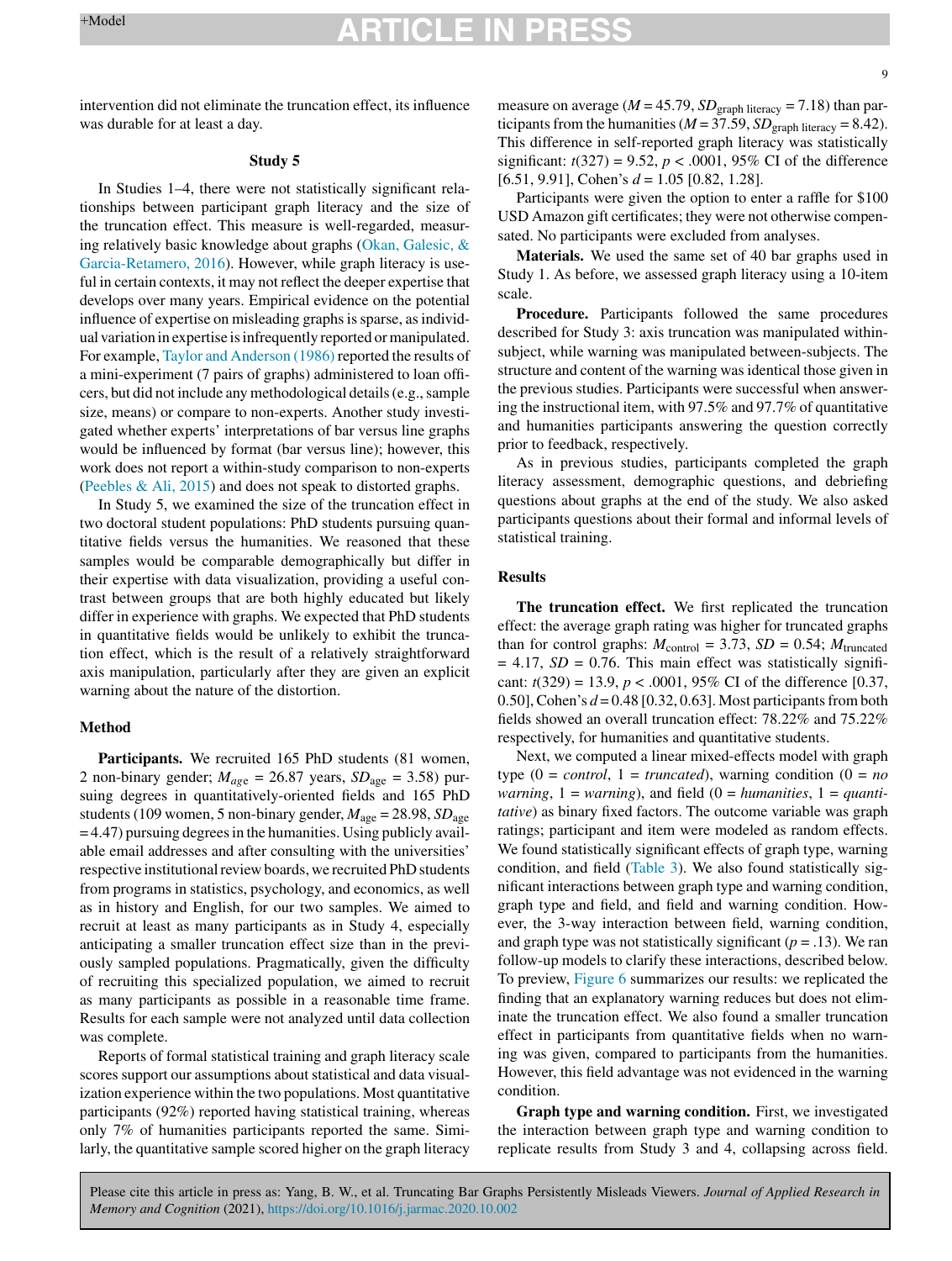intervention did not eliminate the truncation effect, its influence was durable for at least a day.

### **Study 5**

In Studies 1–4, there were not statistically significant relationships between participant graph literacy and the size of the truncation effect. This measure is well-regarded, measuring relatively basic knowledge about graphs [\(Okan,](#page-12-0) [Galesic,](#page-12-0) [&](#page-12-0) [Garcia-Retamero,](#page-12-0) [2016\).](#page-12-0) However, while graph literacy is useful in certain contexts, it may not reflect the deeper expertise that develops over many years. Empirical evidence on the potential influence of expertise on misleading graphs is sparse, as individual variation in expertise is infrequently reported or manipulated. For example, [Taylor](#page-13-0) [and](#page-13-0) [Anderson](#page-13-0) [\(1986\)](#page-13-0) reported the results of a mini-experiment (7 pairs of graphs) administered to loan officers, but did not include any methodological details(e.g.,sample size, means) or compare to non-experts. Another study investigated whether experts' interpretations of bar versus line graphs would be influenced by format (bar versus line); however, this work does not report a within-study comparison to non-experts [\(Peebles](#page-12-0) [&](#page-12-0) [Ali,](#page-12-0) [2015\)](#page-12-0) and does not speak to distorted graphs.

In Study 5, we examined the size of the truncation effect in two doctoral student populations: PhD students pursuing quantitative fields versus the humanities. We reasoned that these samples would be comparable demographically but differ in their expertise with data visualization, providing a useful contrast between groups that are both highly educated but likely differ in experience with graphs. We expected that PhD students in quantitative fields would be unlikely to exhibit the truncation effect, which is the result of a relatively straightforward axis manipulation, particularly after they are given an explicit warning about the nature of the distortion.

### **Method**

Participants. We recruited 165 PhD students (81 women, 2 non-binary gender;  $M_{age} = 26.87$  years,  $SD_{age} = 3.58$ ) pursuing degrees in quantitatively-oriented fields and 165 PhD students (109 women, 5 non-binary gender,  $M_{\text{age}} = 28.98$ ,  $SD_{\text{age}}$  $= 4.47$ ) pursuing degrees in the humanities. Using publicly available email addresses and after consulting with the universities' respective institutional review boards, we recruited PhD students from programs in statistics, psychology, and economics, as well as in history and English, for our two samples. We aimed to recruit at least as many participants as in Study 4, especially anticipating a smaller truncation effect size than in the previously sampled populations. Pragmatically, given the difficulty of recruiting this specialized population, we aimed to recruit as many participants as possible in a reasonable time frame. Results for each sample were not analyzed until data collection was complete.

Reports of formal statistical training and graph literacy scale scores support our assumptions about statistical and data visualization experience within the two populations. Most quantitative participants (92%) reported having statistical training, whereas only 7% of humanities participants reported the same. Similarly, the quantitative sample scored higher on the graph literacy measure on average ( $M = 45.79$ ,  $SD_{graph\text{ literacy}} = 7.18$ ) than participants from the humanities ( $M = 37.59$ ,  $SD_{graph}$  literacy = 8.42). This difference in self-reported graph literacy was statistically significant:  $t(327) = 9.52$ ,  $p < .0001$ , 95% CI of the difference [6.51, 9.91], Cohen's *d* = 1.05 [0.82, 1.28].

Participants were given the option to enter a raffle for \$100 USD Amazon gift certificates; they were not otherwise compensated. No participants were excluded from analyses.

**Materials.** We used the same set of 40 bar graphs used in Study 1. As before, we assessed graph literacy using a 10-item scale.

**Procedure.** Participants followed the same procedures described for Study 3: axis truncation was manipulated withinsubject, while warning was manipulated between-subjects. The structure and content of the warning wasidentical those given in the previous studies. Participants were successful when answering the instructional item, with 97.5% and 97.7% of quantitative and humanities participants answering the question correctly prior to feedback, respectively.

As in previous studies, participants completed the graph literacy assessment, demographic questions, and debriefing questions about graphs at the end of the study. We also asked participants questions about their formal and informal levels of statistical training.

### **Results**

**The truncation effect.** We first replicated the truncation effect: the average graph rating was higher for truncated graphs than for control graphs:  $M_{\text{control}} = 3.73$ ,  $SD = 0.54$ ;  $M_{\text{truncated}}$  $= 4.17$ , *SD* = 0.76. This main effect was statistically significant: *t*(329) = 13.9, *p* < .0001, 95% CI of the difference [0.37, 0.50], Cohen's  $d = 0.48$  [0.32, 0.63]. Most participants from both fields showed an overall truncation effect: 78.22% and 75.22% respectively, for humanities and quantitative students.

Next, we computed a linear mixed-effects model with graph type  $(0 = control, 1 = truncated)$ , warning condition  $(0 = no$ *warning*, 1 = *warning*), and field (0 = *humanities*, 1 = *quantitative*) as binary fixed factors. The outcome variable was graph ratings; participant and item were modeled as random effects. We found statistically significant effects of graph type, warning condition, and field [\(Table](#page-9-0) 3). We also found statistically significant interactions between graph type and warning condition, graph type and field, and field and warning condition. However, the 3-way interaction between field, warning condition, and graph type was not statistically significant  $(p = .13)$ . We ran follow-up models to clarify these interactions, described below. To preview, [Figure](#page-9-0) 6 summarizes our results: we replicated the finding that an explanatory warning reduces but does not eliminate the truncation effect. We also found a smaller truncation effect in participants from quantitative fields when no warning was given, compared to participants from the humanities. However, this field advantage was not evidenced in the warning condition.

**Graph type and warning condition.** First, we investigated the interaction between graph type and warning condition to replicate results from Study 3 and 4, collapsing across field.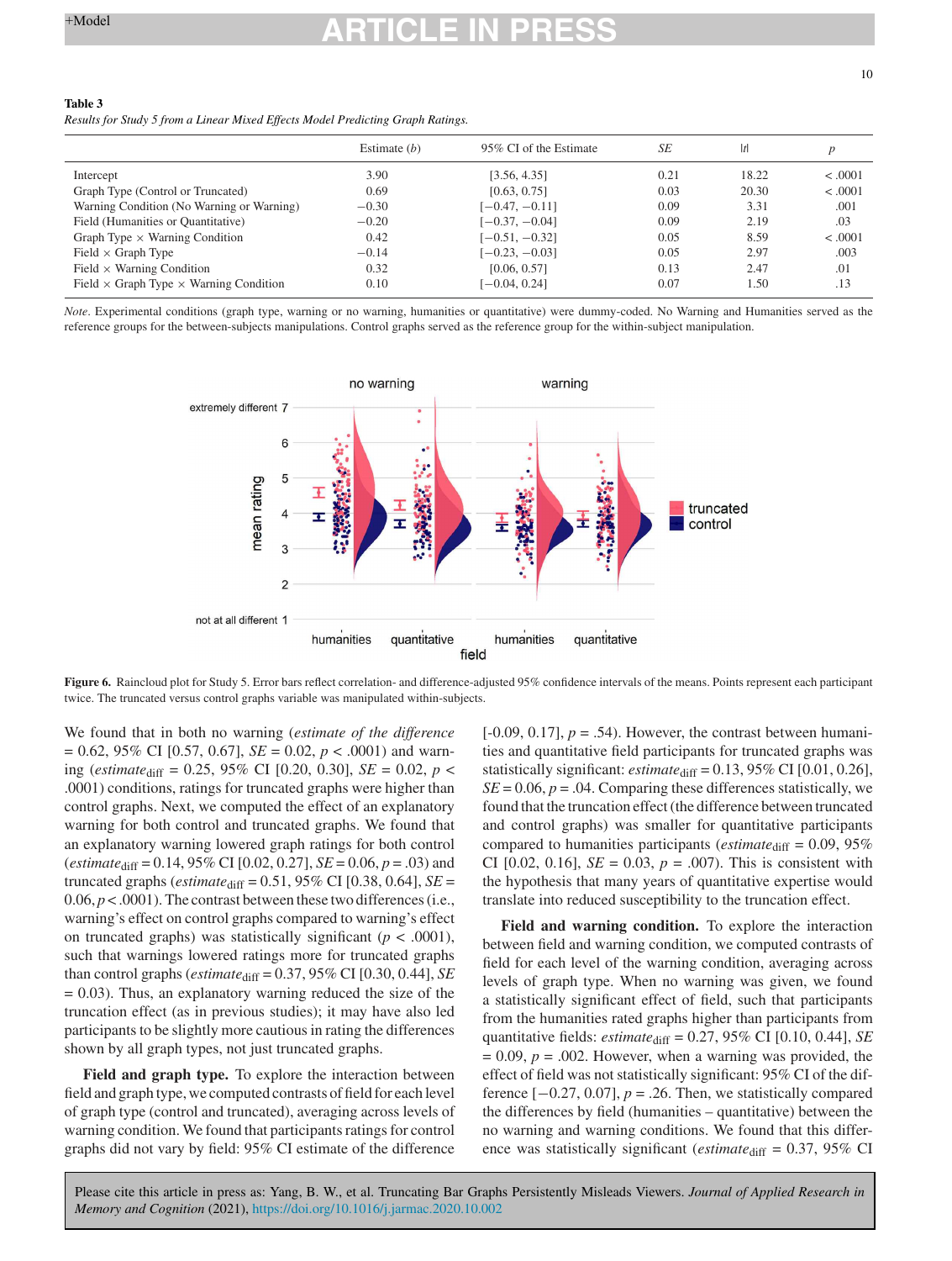### <span id="page-9-0"></span>**Table 3**

*Results for Study 5 from a Linear Mixed Effects Model Predicting Graph Ratings.*

|                                                      | Estimate $(b)$ | 95% CI of the Estimate | SE   | t     |         |
|------------------------------------------------------|----------------|------------------------|------|-------|---------|
| Intercept                                            | 3.90           | [3.56, 4.35]           | 0.21 | 18.22 | < .0001 |
| Graph Type (Control or Truncated)                    | 0.69           | [0.63, 0.75]           | 0.03 | 20.30 | < .0001 |
| Warning Condition (No Warning or Warning)            | $-0.30$        | $[-0.47, -0.11]$       | 0.09 | 3.31  | .001    |
| Field (Humanities or Quantitative)                   | $-0.20$        | $[-0.37, -0.04]$       | 0.09 | 2.19  | .03     |
| Graph Type $\times$ Warning Condition                | 0.42           | $[-0.51, -0.32]$       | 0.05 | 8.59  | < .0001 |
| Field $\times$ Graph Type                            | $-0.14$        | $[-0.23, -0.03]$       | 0.05 | 2.97  | .003    |
| Field $\times$ Warning Condition                     | 0.32           | [0.06, 0.57]           | 0.13 | 2.47  | .01     |
| Field $\times$ Graph Type $\times$ Warning Condition | 0.10           | $[-0.04, 0.24]$        | 0.07 | 1.50  | .13     |

*Note*. Experimental conditions (graph type, warning or no warning, humanities or quantitative) were dummy-coded. No Warning and Humanities served as the reference groups for the between-subjects manipulations. Control graphs served as the reference group for the within-subject manipulation.



**Figure 6.** Raincloud plot for Study 5. Error bars reflect correlation- and difference-adjusted 95% confidence intervals of the means. Points represent each participant twice. The truncated versus control graphs variable was manipulated within-subjects.

We found that in both no warning (*estimate of the difference*  $= 0.62, 95\% \text{ CI}$  [0.57, 0.67], *SE* = 0.02, *p* < .0001) and warning (*estimate*<sub>diff</sub> = 0.25, 95% CI [0.20, 0.30], *SE* = 0.02, *p* < .0001) conditions, ratings for truncated graphs were higher than control graphs. Next, we computed the effect of an explanatory warning for both control and truncated graphs. We found that an explanatory warning lowered graph ratings for both control (*estimate*diff = 0.14, 95% CI [0.02, 0.27], *SE* = 0.06, *p* = .03) and truncated graphs (*estimate*diff = 0.51, 95% CI [0.38, 0.64], *SE* =  $0.06, p < .0001$ ). The contrast between these two differences (i.e., warning's effect on control graphs compared to warning's effect on truncated graphs) was statistically significant ( $p < .0001$ ), such that warnings lowered ratings more for truncated graphs than control graphs (*estimate*diff = 0.37, 95% CI [0.30, 0.44], *SE*  $= 0.03$ ). Thus, an explanatory warning reduced the size of the truncation effect (as in previous studies); it may have also led participants to be slightly more cautious in rating the differences shown by all graph types, not just truncated graphs.

**Field and graph type.** To explore the interaction between field and graph type,we computed contrasts of field for each level of graph type (control and truncated), averaging across levels of warning condition. We found that participants ratings for control graphs did not vary by field: 95% CI estimate of the difference

 $[-0.09, 0.17]$ ,  $p = .54$ ). However, the contrast between humanities and quantitative field participants for truncated graphs was statistically significant:  $estimate_{diff} = 0.13,95\%$  CI [0.01, 0.26],  $SE = 0.06$ ,  $p = .04$ . Comparing these differences statistically, we found that the truncation effect(the difference between truncated and control graphs) was smaller for quantitative participants compared to humanities participants (*estimate*<sub>diff</sub> = 0.09, 95%) CI [0.02, 0.16],  $SE = 0.03$ ,  $p = .007$ ). This is consistent with the hypothesis that many years of quantitative expertise would translate into reduced susceptibility to the truncation effect.

**Field and warning condition.** To explore the interaction between field and warning condition, we computed contrasts of field for each level of the warning condition, averaging across levels of graph type. When no warning was given, we found a statistically significant effect of field, such that participants from the humanities rated graphs higher than participants from quantitative fields: *estimate*diff = 0.27, 95% CI [0.10, 0.44], *SE*  $= 0.09$ ,  $p = .002$ . However, when a warning was provided, the effect of field was not statistically significant: 95% CI of the difference  $[-0.27, 0.07]$ ,  $p = .26$ . Then, we statistically compared the differences by field (humanities – quantitative) between the no warning and warning conditions. We found that this difference was statistically significant (*estimate*<sub>diff</sub> = 0.37, 95% CI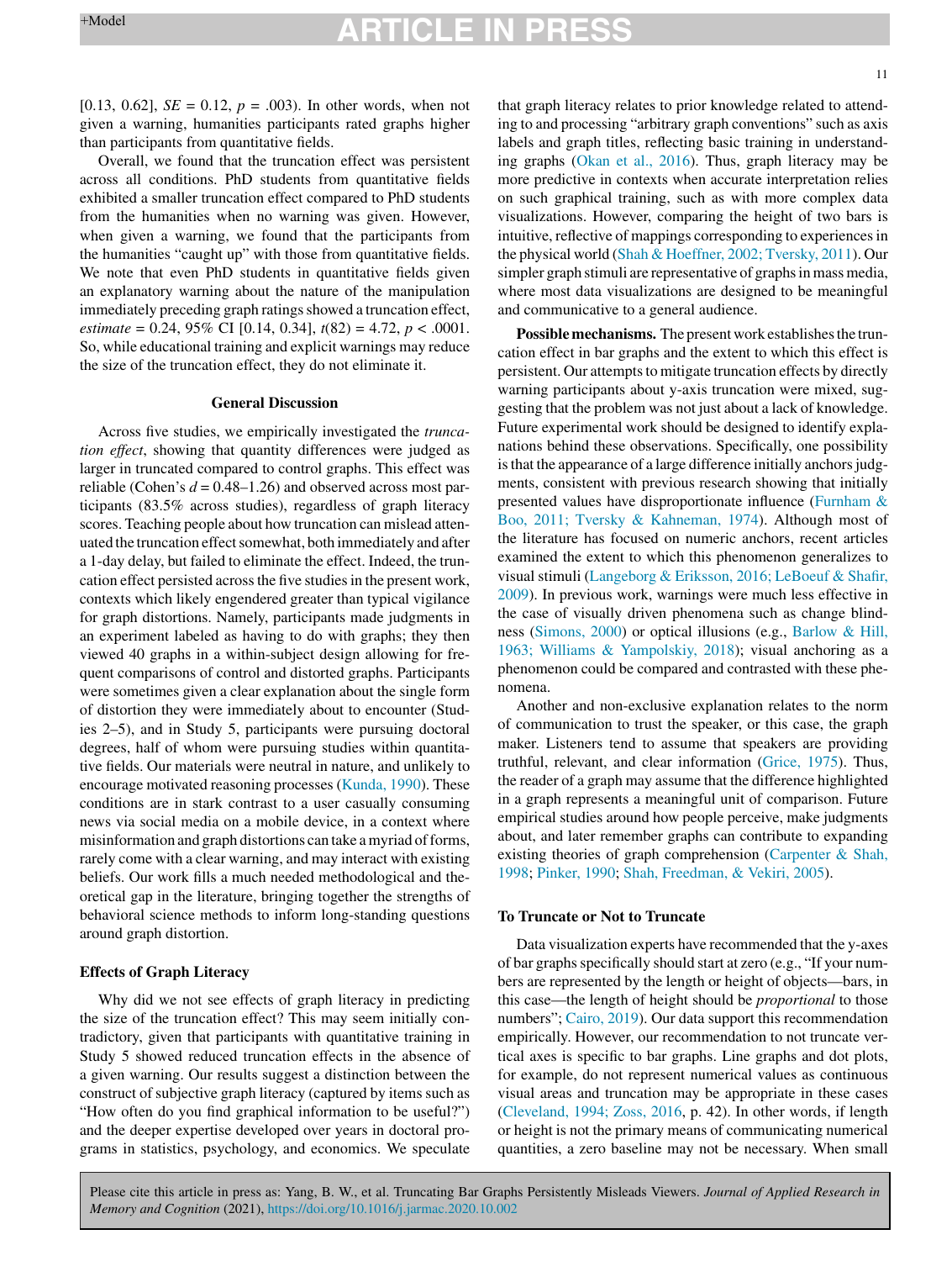[0.13, 0.62],  $SE = 0.12$ ,  $p = .003$ ). In other words, when not given a warning, humanities participants rated graphs higher than participants from quantitative fields.

Overall, we found that the truncation effect was persistent across all conditions. PhD students from quantitative fields exhibited a smaller truncation effect compared to PhD students from the humanities when no warning was given. However, when given a warning, we found that the participants from the humanities "caught up" with those from quantitative fields. We note that even PhD students in quantitative fields given an explanatory warning about the nature of the manipulation immediately preceding graph ratings showed a truncation effect, *estimate* = 0.24, 95% CI [0.14, 0.34], *t*(82) = 4.72, *p* < .0001. So, while educational training and explicit warnings may reduce the size of the truncation effect, they do not eliminate it.

### **General Discussion**

Across five studies, we empirically investigated the *truncation effect*, showing that quantity differences were judged as larger in truncated compared to control graphs. This effect was reliable (Cohen's  $d = 0.48 - 1.26$ ) and observed across most participants (83.5% across studies), regardless of graph literacy scores. Teaching people about how truncation can mislead attenuated the truncation effect somewhat, both immediately and after a 1-day delay, but failed to eliminate the effect. Indeed, the truncation effect persisted across the five studies in the present work, contexts which likely engendered greater than typical vigilance for graph distortions. Namely, participants made judgments in an experiment labeled as having to do with graphs; they then viewed 40 graphs in a within-subject design allowing for frequent comparisons of control and distorted graphs. Participants were sometimes given a clear explanation about the single form of distortion they were immediately about to encounter (Studies 2–5), and in Study 5, participants were pursuing doctoral degrees, half of whom were pursuing studies within quantitative fields. Our materials were neutral in nature, and unlikely to encourage motivated reasoning processes [\(Kunda,](#page-12-0) [1990\).](#page-12-0) These conditions are in stark contrast to a user casually consuming news via social media on a mobile device, in a context where misinformation and graph distortions can take a myriad of forms, rarely come with a clear warning, and may interact with existing beliefs. Our work fills a much needed methodological and theoretical gap in the literature, bringing together the strengths of behavioral science methods to inform long-standing questions around graph distortion.

### **Effects of Graph Literacy**

Why did we not see effects of graph literacy in predicting the size of the truncation effect? This may seem initially contradictory, given that participants with quantitative training in Study 5 showed reduced truncation effects in the absence of a given warning. Our results suggest a distinction between the construct of subjective graph literacy (captured by items such as "How often do you find graphical information to be useful?") and the deeper expertise developed over years in doctoral programs in statistics, psychology, and economics. We speculate

that graph literacy relates to prior knowledge related to attending to and processing "arbitrary graph conventions" such as axis labels and graph titles, reflecting basic training in understanding graphs [\(Okan](#page-12-0) et [al.,](#page-12-0) [2016\).](#page-12-0) Thus, graph literacy may be more predictive in contexts when accurate interpretation relies on such graphical training, such as with more complex data visualizations. However, comparing the height of two bars is intuitive, reflective of mappings corresponding to experiences in the physical world ([Shah](#page-13-0) [&](#page-13-0) [Hoeffner,](#page-13-0) [2002;](#page-13-0) [Tversky,](#page-13-0) [2011\).](#page-13-0) Our simpler graph stimuli are representative of graphs in mass media, where most data visualizations are designed to be meaningful and communicative to a general audience.

**Possible mechanisms.** The present work establishes the truncation effect in bar graphs and the extent to which this effect is persistent. Our attempts to mitigate truncation effects by directly warning participants about y-axis truncation were mixed, suggesting that the problem was not just about a lack of knowledge. Future experimental work should be designed to identify explanations behind these observations. Specifically, one possibility is that the appearance of a large difference initially anchors judgments, consistent with previous research showing that initially presented values have disproportionate influence ([Furnham](#page-12-0) [&](#page-12-0) [Boo,](#page-12-0) [2011;](#page-12-0) [Tversky](#page-12-0) [&](#page-12-0) [Kahneman,](#page-12-0) [1974\).](#page-12-0) Although most of the literature has focused on numeric anchors, recent articles examined the extent to which this phenomenon generalizes to visual stimuli ([Langeborg](#page-12-0) [&](#page-12-0) [Eriksson,](#page-12-0) [2016;](#page-12-0) [LeBoeuf](#page-12-0) [&](#page-12-0) [Shafir,](#page-12-0) [2009\).](#page-12-0) In previous work, warnings were much less effective in the case of visually driven phenomena such as change blindness ([Simons,](#page-13-0) [2000\)](#page-13-0) or optical illusions (e.g., [Barlow](#page-11-0) [&](#page-11-0) [Hill,](#page-11-0) [1963;](#page-11-0) [Williams](#page-11-0) [&](#page-11-0) [Yampolskiy,](#page-11-0) [2018\);](#page-11-0) visual anchoring as a phenomenon could be compared and contrasted with these phenomena.

Another and non-exclusive explanation relates to the norm of communication to trust the speaker, or this case, the graph maker. Listeners tend to assume that speakers are providing truthful, relevant, and clear information [\(Grice,](#page-12-0) [1975\).](#page-12-0) Thus, the reader of a graph may assume that the difference highlighted in a graph represents a meaningful unit of comparison. Future empirical studies around how people perceive, make judgments about, and later remember graphs can contribute to expanding existing theories of graph comprehension ([Carpenter](#page-11-0) [&](#page-11-0) [Shah,](#page-11-0) [1998;](#page-11-0) [Pinker,](#page-12-0) [1990;](#page-12-0) [Shah,](#page-13-0) [Freedman,](#page-13-0) [&](#page-13-0) [Vekiri,](#page-13-0) [2005\).](#page-13-0)

### **To Truncate or Not to Truncate**

Data visualization experts have recommended that the y-axes of bar graphs specifically should start at zero (e.g., "If your numbers are represented by the length or height of objects—bars, in this case—the length of height should be *proportional* to those numbers"; [Cairo,](#page-11-0) [2019\).](#page-11-0) Our data support this recommendation empirically. However, our recommendation to not truncate vertical axes is specific to bar graphs. Line graphs and dot plots, for example, do not represent numerical values as continuous visual areas and truncation may be appropriate in these cases [\(Cleveland,](#page-12-0) [1994;](#page-12-0) [Zoss,](#page-12-0) [2016,](#page-12-0) p. 42). In other words, if length or height is not the primary means of communicating numerical quantities, a zero baseline may not be necessary. When small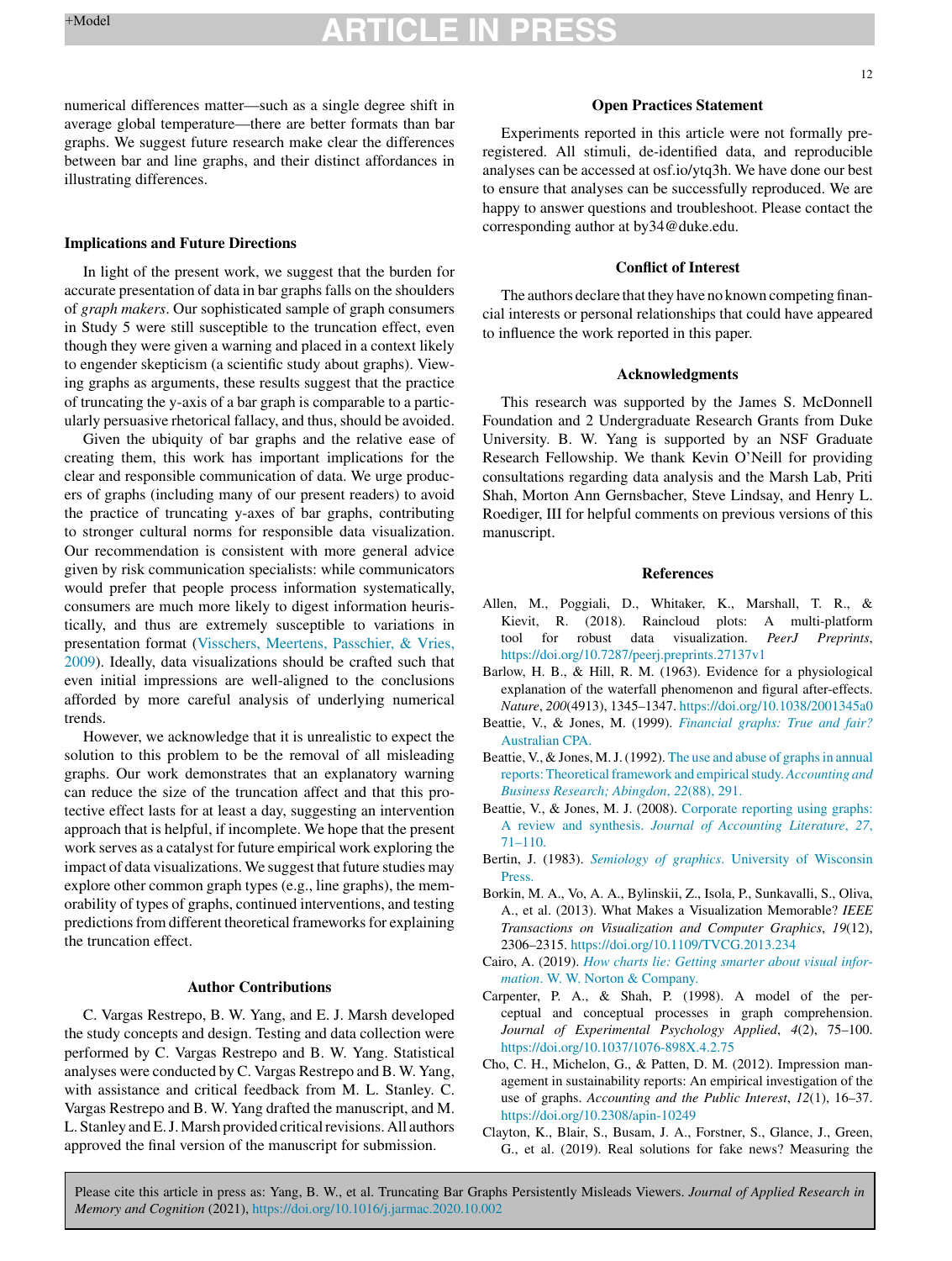<span id="page-11-0"></span>numerical differences matter—such as a single degree shift in average global temperature—there are better formats than bar graphs. We suggest future research make clear the differences between bar and line graphs, and their distinct affordances in illustrating differences.

### **Implications and Future Directions**

In light of the present work, we suggest that the burden for accurate presentation of data in bar graphs falls on the shoulders of *graph makers*. Our sophisticated sample of graph consumers in Study 5 were still susceptible to the truncation effect, even though they were given a warning and placed in a context likely to engender skepticism (a scientific study about graphs). Viewing graphs as arguments, these results suggest that the practice of truncating the y-axis of a bar graph is comparable to a particularly persuasive rhetorical fallacy, and thus, should be avoided.

Given the ubiquity of bar graphs and the relative ease of creating them, this work has important implications for the clear and responsible communication of data. We urge producers of graphs (including many of our present readers) to avoid the practice of truncating y-axes of bar graphs, contributing to stronger cultural norms for responsible data visualization. Our recommendation is consistent with more general advice given by risk communication specialists: while communicators would prefer that people process information systematically, consumers are much more likely to digest information heuristically, and thus are extremely susceptible to variations in presentation format [\(Visschers,](#page-13-0) [Meertens,](#page-13-0) [Passchier,](#page-13-0) [&](#page-13-0) [Vries,](#page-13-0) [2009\).](#page-13-0) Ideally, data visualizations should be crafted such that even initial impressions are well-aligned to the conclusions afforded by more careful analysis of underlying numerical trends.

However, we acknowledge that it is unrealistic to expect the solution to this problem to be the removal of all misleading graphs. Our work demonstrates that an explanatory warning can reduce the size of the truncation affect and that this protective effect lasts for at least a day, suggesting an intervention approach that is helpful, if incomplete. We hope that the present work serves as a catalyst for future empirical work exploring the impact of data visualizations. We suggest that future studies may explore other common graph types (e.g., line graphs), the memorability of types of graphs, continued interventions, and testing predictions from different theoretical frameworks for explaining the truncation effect.

#### **Author Contributions**

C. Vargas Restrepo, B. W. Yang, and E. J. Marsh developed the study concepts and design. Testing and data collection were performed by C. Vargas Restrepo and B. W. Yang. Statistical analyses were conducted by C. Vargas Restrepo and B. W. Yang, with assistance and critical feedback from M. L. Stanley. C. Vargas Restrepo and B. W. Yang drafted the manuscript, and M. L. Stanley and E.J. Marsh provided critical revisions. All authors approved the final version of the manuscript for submission.

#### **Open Practices Statement**

Experiments reported in this article were not formally preregistered. All stimuli, de-identified data, and reproducible analyses can be accessed at osf.io/ytq3h. We have done our best to ensure that analyses can be successfully reproduced. We are happy to answer questions and troubleshoot. Please contact the corresponding author at by34@duke.edu.

### **Conflict of Interest**

The authors declare that they have no known competing financial interests or personal relationships that could have appeared to influence the work reported in this paper.

#### **Acknowledgments**

This research was supported by the James S. McDonnell Foundation and 2 Undergraduate Research Grants from Duke University. B. W. Yang is supported by an NSF Graduate Research Fellowship. We thank Kevin O'Neill for providing consultations regarding data analysis and the Marsh Lab, Priti Shah, Morton Ann Gernsbacher, Steve Lindsay, and Henry L. Roediger, III for helpful comments on previous versions of this manuscript.

### **References**

- Allen, M., Poggiali, D., Whitaker, K., Marshall, T. R., & Kievit, R. (2018). Raincloud plots: A multi-platform tool for robust data visualization. *PeerJ Preprints*, <https://doi.org/10.7287/peerj.preprints.27137v1>
- Barlow, H. B., & Hill, R. M. (1963). Evidence for a physiological explanation of the waterfall phenomenon and figural after-effects. *Nature*, *200*(4913), 1345–1347. <https://doi.org/10.1038/2001345a0>
- Beattie, V., & Jones, M. (1999). *Financial graphs: True and fair?* Australian CPA.
- Beattie, V., & Jones, M. J. (1992). The use and abuse of graphs in annual reports: Theoretical framework and empirical study. *Accounting and Business Research; Abingdon*, *22*(88), 291.
- Beattie, V., & Jones, M. J. (2008). Corporate reporting using graphs: A review and synthesis. *Journal of Accounting Literature*, *27*, 71–110.
- Bertin, J. (1983). *Semiology of graphics*. University of Wisconsin Press.
- Borkin, M. A., Vo, A. A., Bylinskii, Z., Isola, P., Sunkavalli, S., Oliva, A., et al. (2013). What Makes a Visualization Memorable? *IEEE Transactions on Visualization and Computer Graphics*, *19*(12), 2306–2315. <https://doi.org/10.1109/TVCG.2013.234>
- Cairo, A. (2019). *How charts lie: Getting smarter about visual information*. W. W. Norton & Company.
- Carpenter, P. A., & Shah, P. (1998). A model of the perceptual and conceptual processes in graph comprehension. *Journal of Experimental Psychology Applied*, *4*(2), 75–100. <https://doi.org/10.1037/1076-898X.4.2.75>
- Cho, C. H., Michelon, G., & Patten, D. M. (2012). Impression management in sustainability reports: An empirical investigation of the use of graphs. *Accounting and the Public Interest*, *12*(1), 16–37. <https://doi.org/10.2308/apin-10249>
- Clayton, K., Blair, S., Busam, J. A., Forstner, S., Glance, J., Green, G., et al. (2019). Real solutions for fake news? Measuring the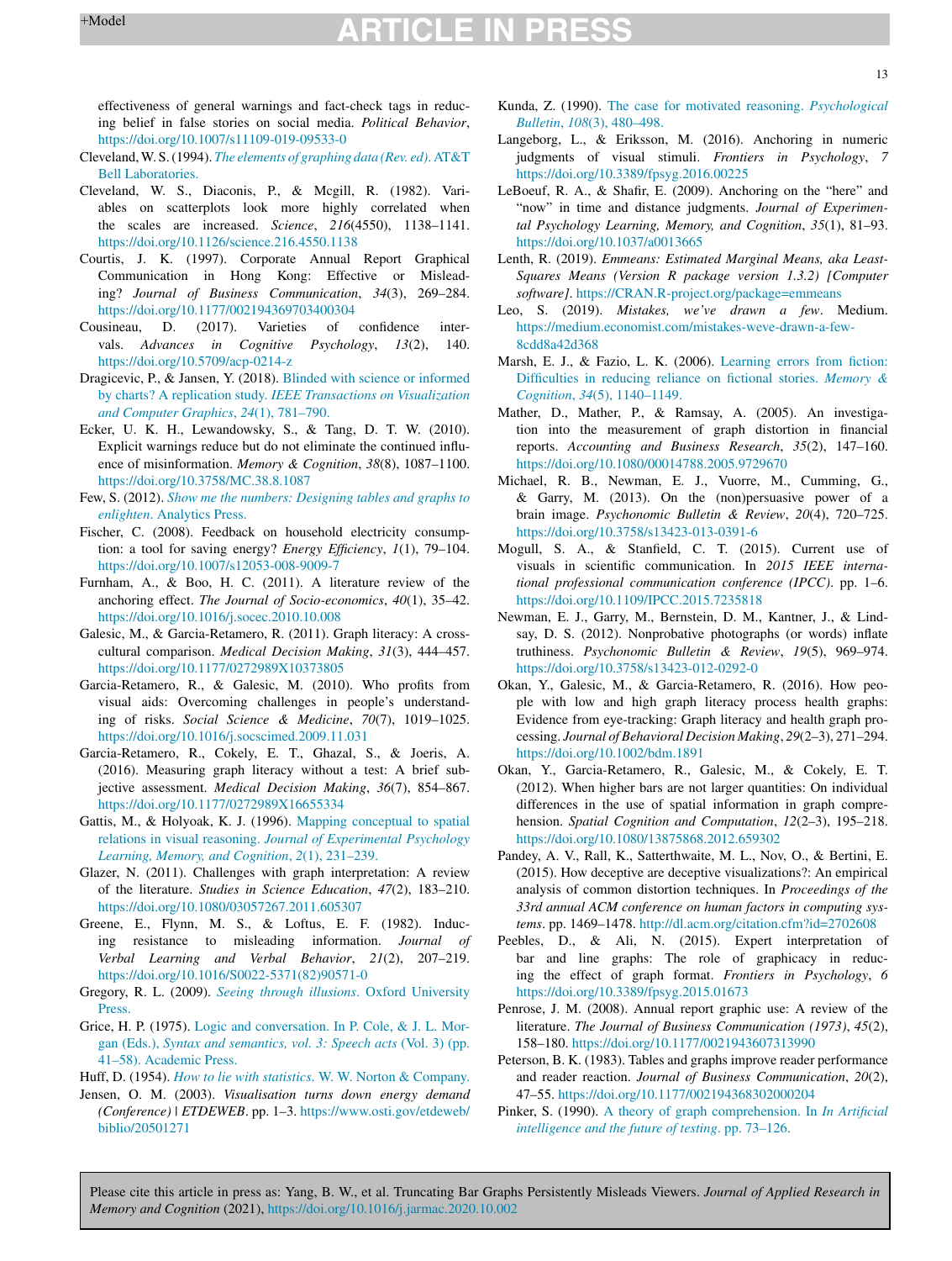# <span id="page-12-0"></span> $+$ Model **ARTICLE IN PRESS**

effectiveness of general warnings and fact-check tags in reducing belief in false stories on social media. *Political Behavior*, <https://doi.org/10.1007/s11109-019-09533-0>

- Cleveland,W. S.(1994). *The elements of graphing data (Rev. ed)*.AT&T Bell Laboratories.
- Cleveland, W. S., Diaconis, P., & Mcgill, R. (1982). Variables on scatterplots look more highly correlated when the scales are increased. *Science*, *216*(4550), 1138–1141. <https://doi.org/10.1126/science.216.4550.1138>
- Courtis, J. K. (1997). Corporate Annual Report Graphical Communication in Hong Kong: Effective or Misleading? *Journal of Business Communication*, *34*(3), 269–284. <https://doi.org/10.1177/002194369703400304>
- Cousineau, D. (2017). Varieties of confidence intervals. *Advances in Cognitive Psychology*, *13*(2), 140. <https://doi.org/10.5709/acp-0214-z>
- Dragicevic, P., & Jansen, Y. (2018). Blinded with science or informed by charts? A replication study. *IEEE Transactions on Visualization and Computer Graphics*, *24*(1), 781–790.
- Ecker, U. K. H., Lewandowsky, S., & Tang, D. T. W. (2010). Explicit warnings reduce but do not eliminate the continued influence of misinformation. *Memory & Cognition*, *38*(8), 1087–1100. <https://doi.org/10.3758/MC.38.8.1087>
- Few, S. (2012). *Show me the numbers: Designing tables and graphs to enlighten*. Analytics Press.
- Fischer, C. (2008). Feedback on household electricity consumption: a tool for saving energy? *Energy Efficiency*, *1*(1), 79–104. <https://doi.org/10.1007/s12053-008-9009-7>
- Furnham, A., & Boo, H. C. (2011). A literature review of the anchoring effect. *The Journal of Socio-economics*, *40*(1), 35–42. <https://doi.org/10.1016/j.socec.2010.10.008>
- Galesic, M., & Garcia-Retamero, R. (2011). Graph literacy: A crosscultural comparison. *Medical Decision Making*, *31*(3), 444–457. <https://doi.org/10.1177/0272989X10373805>
- Garcia-Retamero, R., & Galesic, M. (2010). Who profits from visual aids: Overcoming challenges in people's understanding of risks. *Social Science & Medicine*, *70*(7), 1019–1025. <https://doi.org/10.1016/j.socscimed.2009.11.031>
- Garcia-Retamero, R., Cokely, E. T., Ghazal, S., & Joeris, A. (2016). Measuring graph literacy without a test: A brief subjective assessment. *Medical Decision Making*, *36*(7), 854–867. <https://doi.org/10.1177/0272989X16655334>
- Gattis, M., & Holyoak, K. J. (1996). Mapping conceptual to spatial relations in visual reasoning. *Journal of Experimental Psychology Learning, Memory, and Cognition*, *2*(1), 231–239.
- Glazer, N. (2011). Challenges with graph interpretation: A review of the literature. *Studies in Science Education*, *47*(2), 183–210. <https://doi.org/10.1080/03057267.2011.605307>
- Greene, E., Flynn, M. S., & Loftus, E. F. (1982). Inducing resistance to misleading information. *Journal of Verbal Learning and Verbal Behavior*, *21*(2), 207–219. [https://doi.org/10.1016/S0022-5371\(82\)90571-0](https://doi.org/10.1016/S0022-5371(82)90571-0)
- Gregory, R. L. (2009). *Seeing through illusions*. Oxford University Press.
- Grice, H. P. (1975). Logic and conversation. In P. Cole, & J. L. Morgan (Eds.), *Syntax and semantics, vol. 3: Speech acts* (Vol. 3) (pp. 41–58). Academic Press.

Huff, D. (1954). *How to lie with statistics*. W. W. Norton & Company.

Jensen, O. M. (2003). *Visualisation turns down energy demand (Conference) | ETDEWEB*. pp. 1–3. [https://www.osti.gov/etdeweb/](https://www.osti.gov/etdeweb/biblio/20501271) [biblio/20501271](https://www.osti.gov/etdeweb/biblio/20501271)

- Kunda, Z. (1990). The case for motivated reasoning. *Psychological Bulletin*, *108*(3), 480–498.
- Langeborg, L., & Eriksson, M. (2016). Anchoring in numeric judgments of visual stimuli. *Frontiers in Psychology*, *7* <https://doi.org/10.3389/fpsyg.2016.00225>
- LeBoeuf, R. A., & Shafir, E. (2009). Anchoring on the "here" and "now" in time and distance judgments. *Journal of Experimental Psychology Learning, Memory, and Cognition*, *35*(1), 81–93. <https://doi.org/10.1037/a0013665>
- Lenth, R. (2019). *Emmeans: Estimated Marginal Means, aka Least-Squares Means (Version R package version 1.3.2) [Computer software]*. <https://CRAN.R-project.org/package=emmeans>
- Leo, S. (2019). *Mistakes, we've drawn a few*. Medium. [https://medium.economist.com/mistakes-weve-drawn-a-few-](https://medium.economist.com/mistakes-weve-drawn-a-few-8cdd8a42d368)[8cdd8a42d368](https://medium.economist.com/mistakes-weve-drawn-a-few-8cdd8a42d368)
- Marsh, E. J., & Fazio, L. K. (2006). Learning errors from fiction: Difficulties in reducing reliance on fictional stories. *Memory & Cognition*, *34*(5), 1140–1149.
- Mather, D., Mather, P., & Ramsay, A. (2005). An investigation into the measurement of graph distortion in financial reports. *Accounting and Business Research*, *35*(2), 147–160. <https://doi.org/10.1080/00014788.2005.9729670>
- Michael, R. B., Newman, E. J., Vuorre, M., Cumming, G., & Garry, M. (2013). On the (non)persuasive power of a brain image. *Psychonomic Bulletin & Review*, *20*(4), 720–725. <https://doi.org/10.3758/s13423-013-0391-6>
- Mogull, S. A., & Stanfield, C. T. (2015). Current use of visuals in scientific communication. In *2015 IEEE international professional communication conference (IPCC)*. pp. 1–6. <https://doi.org/10.1109/IPCC.2015.7235818>
- Newman, E. J., Garry, M., Bernstein, D. M., Kantner, J., & Lindsay, D. S. (2012). Nonprobative photographs (or words) inflate truthiness. *Psychonomic Bulletin & Review*, *19*(5), 969–974. <https://doi.org/10.3758/s13423-012-0292-0>
- Okan, Y., Galesic, M., & Garcia-Retamero, R. (2016). How people with low and high graph literacy process health graphs: Evidence from eye-tracking: Graph literacy and health graph processing. *Journal of Behavioral Decision Making*, *29*(2–3), 271–294. <https://doi.org/10.1002/bdm.1891>
- Okan, Y., Garcia-Retamero, R., Galesic, M., & Cokely, E. T. (2012). When higher bars are not larger quantities: On individual differences in the use of spatial information in graph comprehension. *Spatial Cognition and Computation*, *12*(2–3), 195–218. <https://doi.org/10.1080/13875868.2012.659302>
- Pandey, A. V., Rall, K., Satterthwaite, M. L., Nov, O., & Bertini, E. (2015). How deceptive are deceptive visualizations?: An empirical analysis of common distortion techniques. In *Proceedings of the 33rd annual ACM conference on human factors in computing systems*. pp. 1469–1478. <http://dl.acm.org/citation.cfm?id=2702608>
- Peebles, D., & Ali, N. (2015). Expert interpretation of bar and line graphs: The role of graphicacy in reducing the effect of graph format. *Frontiers in Psychology*, *6* <https://doi.org/10.3389/fpsyg.2015.01673>
- Penrose, J. M. (2008). Annual report graphic use: A review of the literature. *The Journal of Business Communication (1973)*, *45*(2), 158–180. <https://doi.org/10.1177/0021943607313990>
- Peterson, B. K. (1983). Tables and graphs improve reader performance and reader reaction. *Journal of Business Communication*, *20*(2), 47–55. <https://doi.org/10.1177/002194368302000204>
- Pinker, S. (1990). A theory of graph comprehension. In *In Artificial intelligence and the future of testing*. pp. 73–126.

13